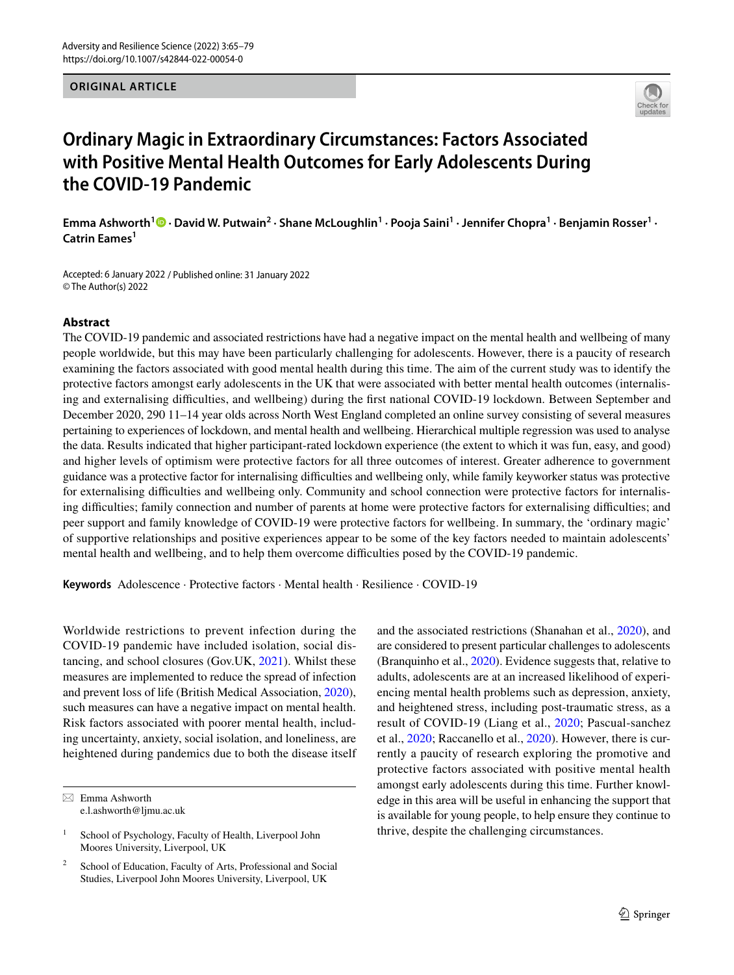# **ORIGINAL ARTICLE**



# **Ordinary Magic in Extraordinary Circumstances: Factors Associated with Positive Mental Health Outcomes for Early Adolescents During the COVID-19 Pandemic**

**Emma Ashworth<sup>1</sup>  [·](http://orcid.org/0000-0002-5279-4514) David W. Putwain2 · Shane McLoughlin1 · Pooja Saini1 · Jennifer Chopra1 · Benjamin Rosser1 · Catrin Eames<sup>1</sup>**

Accepted: 6 January 2022 / Published online: 31 January 2022 © The Author(s) 2022

# **Abstract**

The COVID-19 pandemic and associated restrictions have had a negative impact on the mental health and wellbeing of many people worldwide, but this may have been particularly challenging for adolescents. However, there is a paucity of research examining the factors associated with good mental health during this time. The aim of the current study was to identify the protective factors amongst early adolescents in the UK that were associated with better mental health outcomes (internalising and externalising difculties, and wellbeing) during the frst national COVID-19 lockdown. Between September and December 2020, 290 11–14 year olds across North West England completed an online survey consisting of several measures pertaining to experiences of lockdown, and mental health and wellbeing. Hierarchical multiple regression was used to analyse the data. Results indicated that higher participant-rated lockdown experience (the extent to which it was fun, easy, and good) and higher levels of optimism were protective factors for all three outcomes of interest. Greater adherence to government guidance was a protective factor for internalising difculties and wellbeing only, while family keyworker status was protective for externalising difculties and wellbeing only. Community and school connection were protective factors for internalising difficulties; family connection and number of parents at home were protective factors for externalising difficulties; and peer support and family knowledge of COVID-19 were protective factors for wellbeing. In summary, the 'ordinary magic' of supportive relationships and positive experiences appear to be some of the key factors needed to maintain adolescents' mental health and wellbeing, and to help them overcome difficulties posed by the COVID-19 pandemic.

**Keywords** Adolescence · Protective factors · Mental health · Resilience · COVID-19

Worldwide restrictions to prevent infection during the COVID-19 pandemic have included isolation, social distancing, and school closures (Gov.UK, [2021](#page-12-0)). Whilst these measures are implemented to reduce the spread of infection and prevent loss of life (British Medical Association, [2020](#page-11-0)), such measures can have a negative impact on mental health. Risk factors associated with poorer mental health, including uncertainty, anxiety, social isolation, and loneliness, are heightened during pandemics due to both the disease itself and the associated restrictions (Shanahan et al., [2020](#page-13-0)), and are considered to present particular challenges to adolescents (Branquinho et al., [2020](#page-11-1)). Evidence suggests that, relative to adults, adolescents are at an increased likelihood of experiencing mental health problems such as depression, anxiety, and heightened stress, including post-traumatic stress, as a result of COVID-19 (Liang et al., [2020;](#page-12-1) Pascual-sanchez et al., [2020;](#page-13-1) Raccanello et al., [2020\)](#page-13-2). However, there is currently a paucity of research exploring the promotive and protective factors associated with positive mental health amongst early adolescents during this time. Further knowledge in this area will be useful in enhancing the support that is available for young people, to help ensure they continue to thrive, despite the challenging circumstances.

 $\boxtimes$  Emma Ashworth e.l.ashworth@ljmu.ac.uk

<sup>&</sup>lt;sup>1</sup> School of Psychology, Faculty of Health, Liverpool John Moores University, Liverpool, UK

<sup>&</sup>lt;sup>2</sup> School of Education, Faculty of Arts, Professional and Social Studies, Liverpool John Moores University, Liverpool, UK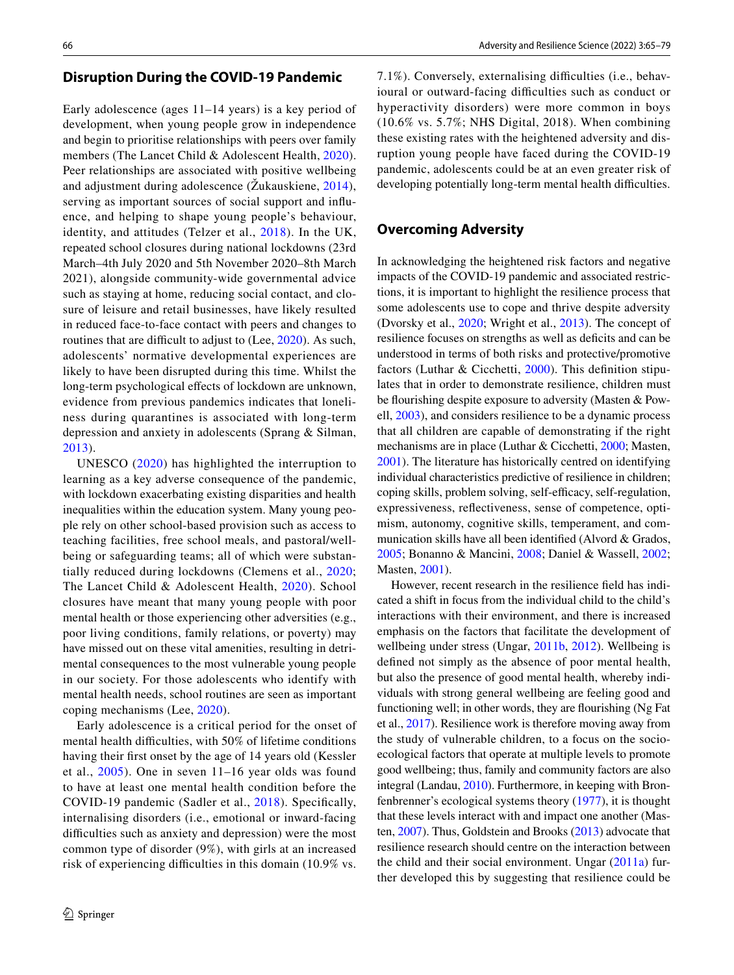# **Disruption During the COVID‑19 Pandemic**

Early adolescence (ages 11–14 years) is a key period of development, when young people grow in independence and begin to prioritise relationships with peers over family members (The Lancet Child & Adolescent Health, [2020](#page-13-3)). Peer relationships are associated with positive wellbeing and adjustment during adolescence (Žukauskiene, [2014](#page-14-0)), serving as important sources of social support and infuence, and helping to shape young people's behaviour, identity, and attitudes (Telzer et al., [2018\)](#page-13-4). In the UK, repeated school closures during national lockdowns (23rd March–4th July 2020 and 5th November 2020–8th March 2021), alongside community-wide governmental advice such as staying at home, reducing social contact, and closure of leisure and retail businesses, have likely resulted in reduced face-to-face contact with peers and changes to routines that are difficult to adjust to  $(Lee, 2020)$  $(Lee, 2020)$ . As such, adolescents' normative developmental experiences are likely to have been disrupted during this time. Whilst the long-term psychological effects of lockdown are unknown, evidence from previous pandemics indicates that loneliness during quarantines is associated with long-term depression and anxiety in adolescents (Sprang & Silman, [2013\)](#page-13-5).

UNESCO ([2020](#page-13-6)) has highlighted the interruption to learning as a key adverse consequence of the pandemic, with lockdown exacerbating existing disparities and health inequalities within the education system. Many young people rely on other school-based provision such as access to teaching facilities, free school meals, and pastoral/wellbeing or safeguarding teams; all of which were substantially reduced during lockdowns (Clemens et al., [2020](#page-12-3); The Lancet Child & Adolescent Health, [2020](#page-13-3)). School closures have meant that many young people with poor mental health or those experiencing other adversities (e.g., poor living conditions, family relations, or poverty) may have missed out on these vital amenities, resulting in detrimental consequences to the most vulnerable young people in our society. For those adolescents who identify with mental health needs, school routines are seen as important coping mechanisms (Lee, [2020\)](#page-12-2).

Early adolescence is a critical period for the onset of mental health difficulties, with 50% of lifetime conditions having their frst onset by the age of 14 years old (Kessler et al., [2005\)](#page-12-4). One in seven 11–16 year olds was found to have at least one mental health condition before the COVID-19 pandemic (Sadler et al., [2018\)](#page-13-7). Specifcally, internalising disorders (i.e., emotional or inward-facing difficulties such as anxiety and depression) were the most common type of disorder (9%), with girls at an increased risk of experiencing difficulties in this domain (10.9% vs.

7.1%). Conversely, externalising difficulties (i.e., behavioural or outward-facing difficulties such as conduct or hyperactivity disorders) were more common in boys (10.6% vs. 5.7%; NHS Digital, 2018). When combining these existing rates with the heightened adversity and disruption young people have faced during the COVID-19 pandemic, adolescents could be at an even greater risk of developing potentially long-term mental health difficulties.

# **Overcoming Adversity**

In acknowledging the heightened risk factors and negative impacts of the COVID-19 pandemic and associated restrictions, it is important to highlight the resilience process that some adolescents use to cope and thrive despite adversity (Dvorsky et al., [2020](#page-12-5); Wright et al., [2013](#page-13-8)). The concept of resilience focuses on strengths as well as deficits and can be understood in terms of both risks and protective/promotive factors (Luthar & Cicchetti, [2000\)](#page-12-6). This defnition stipulates that in order to demonstrate resilience, children must be flourishing despite exposure to adversity (Masten & Powell, [2003](#page-12-7)), and considers resilience to be a dynamic process that all children are capable of demonstrating if the right mechanisms are in place (Luthar & Cicchetti, [2000;](#page-12-6) Masten, [2001](#page-12-8)). The literature has historically centred on identifying individual characteristics predictive of resilience in children; coping skills, problem solving, self-efficacy, self-regulation, expressiveness, refectiveness, sense of competence, optimism, autonomy, cognitive skills, temperament, and communication skills have all been identifed (Alvord & Grados, [2005](#page-11-2); Bonanno & Mancini, [2008;](#page-11-3) Daniel & Wassell, [2002](#page-12-9); Masten, [2001\)](#page-12-8).

However, recent research in the resilience feld has indicated a shift in focus from the individual child to the child's interactions with their environment, and there is increased emphasis on the factors that facilitate the development of wellbeing under stress (Ungar, [2011b,](#page-13-9) [2012](#page-13-10)). Wellbeing is defned not simply as the absence of poor mental health, but also the presence of good mental health, whereby individuals with strong general wellbeing are feeling good and functioning well; in other words, they are fourishing (Ng Fat et al., [2017\)](#page-13-11). Resilience work is therefore moving away from the study of vulnerable children, to a focus on the socioecological factors that operate at multiple levels to promote good wellbeing; thus, family and community factors are also integral (Landau, [2010\)](#page-12-10). Furthermore, in keeping with Bronfenbrenner's ecological systems theory ([1977](#page-11-4)), it is thought that these levels interact with and impact one another (Masten, [2007\)](#page-12-11). Thus, Goldstein and Brooks ([2013\)](#page-12-12) advocate that resilience research should centre on the interaction between the child and their social environment. Ungar [\(2011a](#page-13-12)) further developed this by suggesting that resilience could be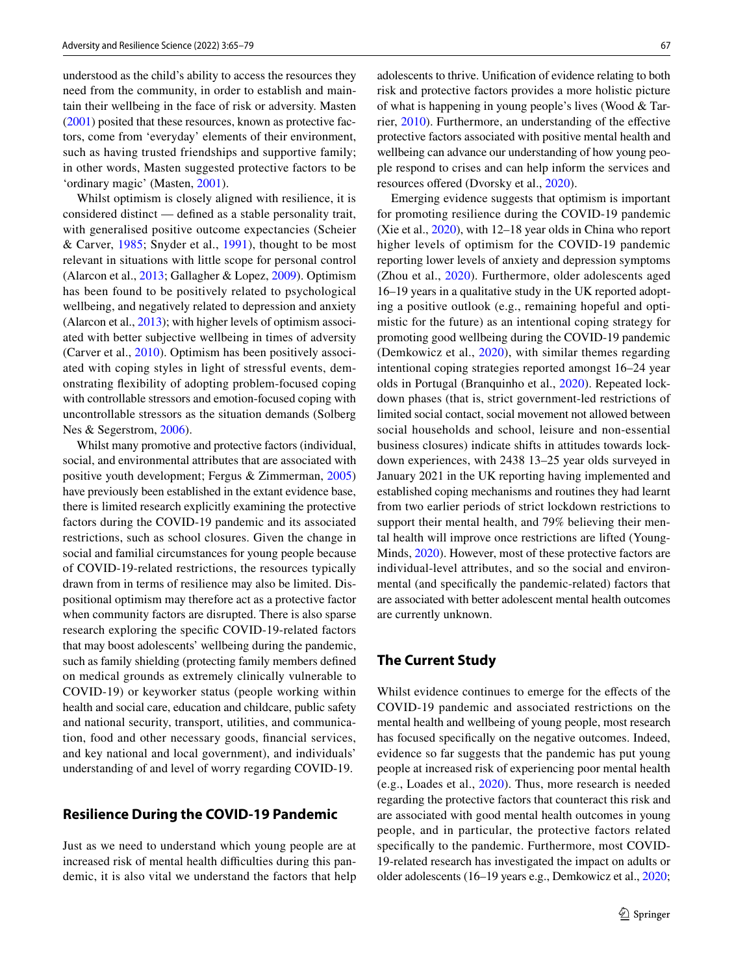understood as the child's ability to access the resources they need from the community, in order to establish and maintain their wellbeing in the face of risk or adversity. Masten [\(2001](#page-12-8)) posited that these resources, known as protective factors, come from 'everyday' elements of their environment, such as having trusted friendships and supportive family; in other words, Masten suggested protective factors to be 'ordinary magic' (Masten, [2001](#page-12-8)).

Whilst optimism is closely aligned with resilience, it is considered distinct — defned as a stable personality trait, with generalised positive outcome expectancies (Scheier & Carver, [1985](#page-13-13); Snyder et al., [1991](#page-13-14)), thought to be most relevant in situations with little scope for personal control (Alarcon et al., [2013](#page-11-5); Gallagher & Lopez, [2009\)](#page-12-13). Optimism has been found to be positively related to psychological wellbeing, and negatively related to depression and anxiety (Alarcon et al., [2013\)](#page-11-5); with higher levels of optimism associated with better subjective wellbeing in times of adversity (Carver et al., [2010\)](#page-12-14). Optimism has been positively associated with coping styles in light of stressful events, demonstrating fexibility of adopting problem-focused coping with controllable stressors and emotion-focused coping with uncontrollable stressors as the situation demands (Solberg Nes & Segerstrom, [2006](#page-13-15)).

Whilst many promotive and protective factors (individual, social, and environmental attributes that are associated with positive youth development; Fergus & Zimmerman, [2005\)](#page-12-15) have previously been established in the extant evidence base, there is limited research explicitly examining the protective factors during the COVID-19 pandemic and its associated restrictions, such as school closures. Given the change in social and familial circumstances for young people because of COVID-19-related restrictions, the resources typically drawn from in terms of resilience may also be limited. Dispositional optimism may therefore act as a protective factor when community factors are disrupted. There is also sparse research exploring the specifc COVID-19-related factors that may boost adolescents' wellbeing during the pandemic, such as family shielding (protecting family members defned on medical grounds as extremely clinically vulnerable to COVID-19) or keyworker status (people working within health and social care, education and childcare, public safety and national security, transport, utilities, and communication, food and other necessary goods, fnancial services, and key national and local government), and individuals' understanding of and level of worry regarding COVID-19.

# **Resilience During the COVID‑19 Pandemic**

Just as we need to understand which young people are at increased risk of mental health difficulties during this pandemic, it is also vital we understand the factors that help adolescents to thrive. Unifcation of evidence relating to both risk and protective factors provides a more holistic picture of what is happening in young people's lives (Wood & Tarrier, [2010\)](#page-13-16). Furthermore, an understanding of the efective protective factors associated with positive mental health and wellbeing can advance our understanding of how young people respond to crises and can help inform the services and resources offered (Dvorsky et al., [2020\)](#page-12-5).

Emerging evidence suggests that optimism is important for promoting resilience during the COVID-19 pandemic (Xie et al., [2020](#page-14-1)), with 12–18 year olds in China who report higher levels of optimism for the COVID-19 pandemic reporting lower levels of anxiety and depression symptoms (Zhou et al., [2020\)](#page-14-2). Furthermore, older adolescents aged 16–19 years in a qualitative study in the UK reported adopting a positive outlook (e.g., remaining hopeful and optimistic for the future) as an intentional coping strategy for promoting good wellbeing during the COVID-19 pandemic (Demkowicz et al., [2020](#page-12-16)), with similar themes regarding intentional coping strategies reported amongst 16–24 year olds in Portugal (Branquinho et al., [2020\)](#page-11-1). Repeated lockdown phases (that is, strict government-led restrictions of limited social contact, social movement not allowed between social households and school, leisure and non-essential business closures) indicate shifts in attitudes towards lockdown experiences, with 2438 13–25 year olds surveyed in January 2021 in the UK reporting having implemented and established coping mechanisms and routines they had learnt from two earlier periods of strict lockdown restrictions to support their mental health, and 79% believing their mental health will improve once restrictions are lifted (Young-Minds, [2020\)](#page-14-3). However, most of these protective factors are individual-level attributes, and so the social and environmental (and specifcally the pandemic-related) factors that are associated with better adolescent mental health outcomes are currently unknown.

# **The Current Study**

Whilst evidence continues to emerge for the effects of the COVID-19 pandemic and associated restrictions on the mental health and wellbeing of young people, most research has focused specifcally on the negative outcomes. Indeed, evidence so far suggests that the pandemic has put young people at increased risk of experiencing poor mental health (e.g., Loades et al., [2020](#page-12-17)). Thus, more research is needed regarding the protective factors that counteract this risk and are associated with good mental health outcomes in young people, and in particular, the protective factors related specifcally to the pandemic. Furthermore, most COVID-19-related research has investigated the impact on adults or older adolescents (16–19 years e.g., Demkowicz et al., [2020](#page-12-16);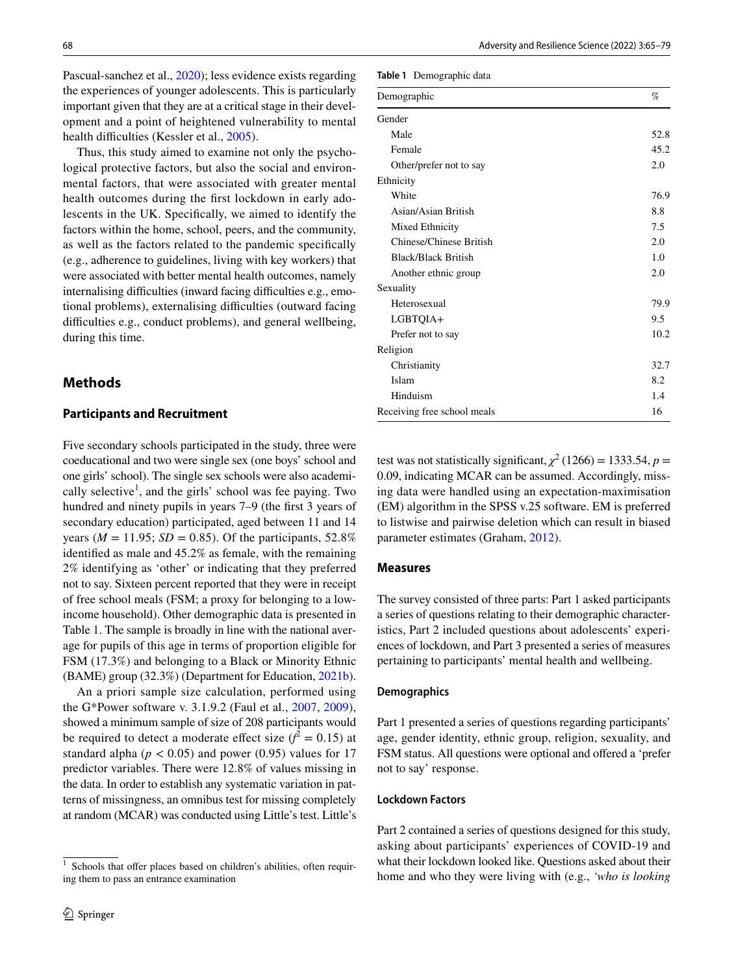Pascual-sanchez et al., [2020\)](#page-13-1); less evidence exists regarding the experiences of younger adolescents. This is particularly important given that they are at a critical stage in their development and a point of heightened vulnerability to mental health difficulties (Kessler et al., [2005](#page-12-4)).

Thus, this study aimed to examine not only the psychological protective factors, but also the social and environmental factors, that were associated with greater mental health outcomes during the frst lockdown in early adolescents in the UK. Specifcally, we aimed to identify the factors within the home, school, peers, and the community, as well as the factors related to the pandemic specifcally (e.g., adherence to guidelines, living with key workers) that were associated with better mental health outcomes, namely internalising difficulties (inward facing difficulties e.g., emotional problems), externalising difficulties (outward facing difficulties e.g., conduct problems), and general wellbeing, during this time.

# **Methods**

### **Participants and Recruitment**

Five secondary schools participated in the study, three were coeducational and two were single sex (one boys' school and one girls' school). The single sex schools were also academi-cally selective<sup>[1](#page-3-0)</sup>, and the girls' school was fee paying. Two hundred and ninety pupils in years 7–9 (the first 3 years of secondary education) participated, aged between 11 and 14 years ( $M = 11.95$ ;  $SD = 0.85$ ). Of the participants, 52.8% identifed as male and 45.2% as female, with the remaining 2% identifying as 'other' or indicating that they preferred not to say. Sixteen percent reported that they were in receipt of free school meals (FSM; a proxy for belonging to a lowincome household). Other demographic data is presented in Table [1](#page-3-1). The sample is broadly in line with the national average for pupils of this age in terms of proportion eligible for FSM (17.3%) and belonging to a Black or Minority Ethnic (BAME) group (32.3%) (Department for Education, [2021b](#page-12-18)).

An a priori sample size calculation, performed using the G\*Power software v. 3.1.9.2 (Faul et al., [2007](#page-12-19), [2009](#page-12-20)), showed a minimum sample of size of 208 participants would be required to detect a moderate effect size  $(f^2 = 0.15)$  at standard alpha ( $p < 0.05$ ) and power (0.95) values for 17 predictor variables. There were 12.8% of values missing in the data. In order to establish any systematic variation in patterns of missingness, an omnibus test for missing completely at random (MCAR) was conducted using Little's test. Little's

<span id="page-3-1"></span>**Table 1** Demographic data

| Demographic                 | $\%$ |
|-----------------------------|------|
| Gender                      |      |
| Male                        | 52.8 |
| Female                      | 45.2 |
| Other/prefer not to say     | 2.0  |
| Ethnicity                   |      |
| White                       | 76.9 |
| Asian/Asian British         | 8.8  |
| Mixed Ethnicity             | 7.5  |
| Chinese/Chinese British     | 2.0  |
| <b>Black/Black British</b>  | 1.0  |
| Another ethnic group        | 2.0  |
| Sexuality                   |      |
| Heterosexual                | 79.9 |
| LGBTQIA+                    | 9.5  |
| Prefer not to say           | 10.2 |
| Religion                    |      |
| Christianity                | 32.7 |
| Islam                       | 8.2  |
| Hinduism                    | 1.4  |
| Receiving free school meals | 16   |

test was not statistically significant,  $\chi^2$  (1266) = 1333.54, *p* = 0.09, indicating MCAR can be assumed. Accordingly, missing data were handled using an expectation-maximisation (EM) algorithm in the SPSS v.25 software. EM is preferred to listwise and pairwise deletion which can result in biased parameter estimates (Graham, [2012\)](#page-12-21).

### **Measures**

The survey consisted of three parts: Part 1 asked participants a series of questions relating to their demographic characteristics, Part 2 included questions about adolescents' experiences of lockdown, and Part 3 presented a series of measures pertaining to participants' mental health and wellbeing.

#### **Demographics**

Part 1 presented a series of questions regarding participants' age, gender identity, ethnic group, religion, sexuality, and FSM status. All questions were optional and ofered a 'prefer not to say' response.

# **Lockdown Factors**

Part 2 contained a series of questions designed for this study, asking about participants' experiences of COVID-19 and what their lockdown looked like. Questions asked about their home and who they were living with (e.g., *'who is looking* 

<span id="page-3-0"></span> $1$  Schools that offer places based on children's abilities, often requiring them to pass an entrance examination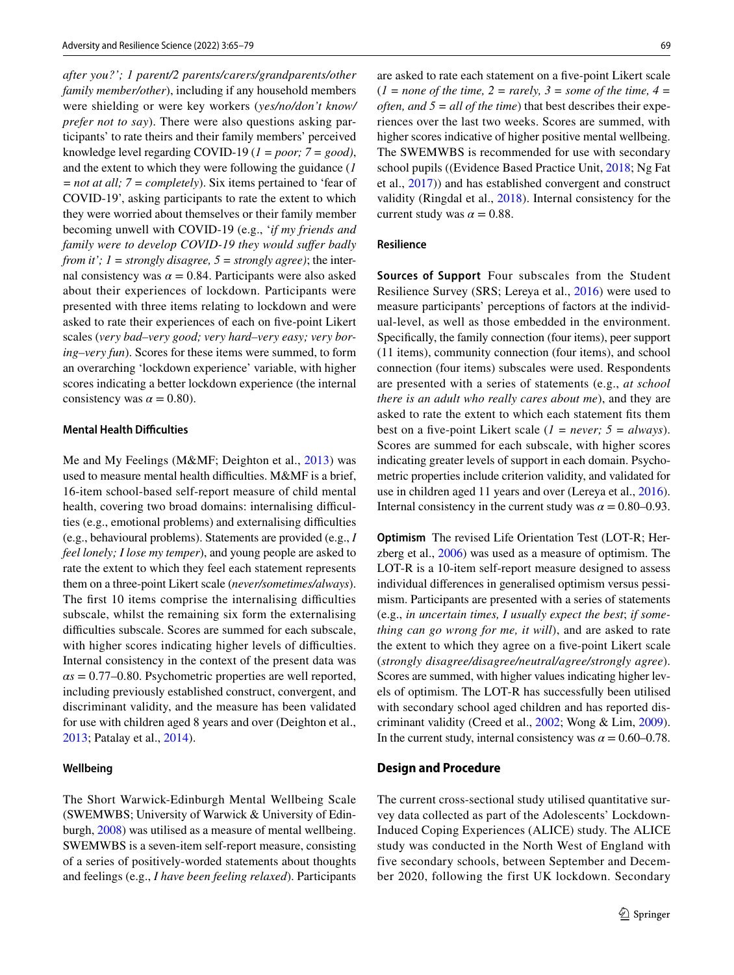*after you?'; 1 parent/2 parents/carers/grandparents/other family member/other*), including if any household members were shielding or were key workers (*yes/no/don't know/ prefer not to say*). There were also questions asking participants' to rate theirs and their family members' perceived knowledge level regarding COVID-19 (*1 = poor; 7 = good)*, and the extent to which they were following the guidance (*1 = not at all; 7 = completely*). Six items pertained to 'fear of COVID-19', asking participants to rate the extent to which they were worried about themselves or their family member becoming unwell with COVID-19 (e.g., '*if my friends and family were to develop COVID-19 they would sufer badly from it'; 1 = strongly disagree, 5 = strongly agree)*; the internal consistency was  $\alpha = 0.84$ . Participants were also asked about their experiences of lockdown. Participants were presented with three items relating to lockdown and were asked to rate their experiences of each on fve-point Likert scales (*very bad–very good; very hard–very easy; very boring–very fun*). Scores for these items were summed, to form an overarching 'lockdown experience' variable, with higher scores indicating a better lockdown experience (the internal consistency was  $\alpha = 0.80$ ).

# **Mental Health Difficulties**

Me and My Feelings (M&MF; Deighton et al., [2013](#page-12-22)) was used to measure mental health difficulties. M&MF is a brief, 16-item school-based self-report measure of child mental health, covering two broad domains: internalising difficulties (e.g., emotional problems) and externalising difculties (e.g., behavioural problems). Statements are provided (e.g., *I feel lonely; I lose my temper*), and young people are asked to rate the extent to which they feel each statement represents them on a three-point Likert scale (*never/sometimes/always*). The first 10 items comprise the internalising difficulties subscale, whilst the remaining six form the externalising difficulties subscale. Scores are summed for each subscale, with higher scores indicating higher levels of difficulties. Internal consistency in the context of the present data was  $\alpha s = 0.77$ –0.80. Psychometric properties are well reported, including previously established construct, convergent, and discriminant validity, and the measure has been validated for use with children aged 8 years and over (Deighton et al., [2013](#page-12-22); Patalay et al., [2014](#page-13-17)).

#### **Wellbeing**

The Short Warwick-Edinburgh Mental Wellbeing Scale (SWEMWBS; University of Warwick & University of Edinburgh, [2008](#page-13-18)) was utilised as a measure of mental wellbeing. SWEMWBS is a seven-item self-report measure, consisting of a series of positively-worded statements about thoughts and feelings (e.g., *I have been feeling relaxed*). Participants are asked to rate each statement on a fve-point Likert scale  $(1 = none of the time, 2 = rarely, 3 = some of the time, 4 = 1$ *often, and 5 = all of the time*) that best describes their experiences over the last two weeks. Scores are summed, with higher scores indicative of higher positive mental wellbeing. The SWEMWBS is recommended for use with secondary school pupils ((Evidence Based Practice Unit, [2018;](#page-12-23) Ng Fat et al., [2017\)](#page-13-11)) and has established convergent and construct validity (Ringdal et al., [2018\)](#page-13-19). Internal consistency for the current study was  $\alpha = 0.88$ .

#### **Resilience**

**Sources of Support** Four subscales from the Student Resilience Survey (SRS; Lereya et al., [2016](#page-12-24)) were used to measure participants' perceptions of factors at the individual-level, as well as those embedded in the environment. Specifcally, the family connection (four items), peer support (11 items), community connection (four items), and school connection (four items) subscales were used. Respondents are presented with a series of statements (e.g., *at school there is an adult who really cares about me*), and they are asked to rate the extent to which each statement fts them best on a fve-point Likert scale (*1 = never; 5 = always*). Scores are summed for each subscale, with higher scores indicating greater levels of support in each domain. Psychometric properties include criterion validity, and validated for use in children aged 11 years and over (Lereya et al., [2016](#page-12-24)). Internal consistency in the current study was  $\alpha = 0.80{\text -}0.93$ .

**Optimism** The revised Life Orientation Test (LOT-R; Herzberg et al., [2006\)](#page-12-25) was used as a measure of optimism. The LOT-R is a 10-item self-report measure designed to assess individual diferences in generalised optimism versus pessimism. Participants are presented with a series of statements (e.g., *in uncertain times, I usually expect the best*; *if something can go wrong for me, it will*), and are asked to rate the extent to which they agree on a fve-point Likert scale (*strongly disagree/disagree/neutral/agree/strongly agree*). Scores are summed, with higher values indicating higher levels of optimism. The LOT-R has successfully been utilised with secondary school aged children and has reported discriminant validity (Creed et al., [2002;](#page-12-26) Wong & Lim, [2009](#page-13-20)). In the current study, internal consistency was  $\alpha = 0.60 - 0.78$ .

# **Design and Procedure**

The current cross-sectional study utilised quantitative survey data collected as part of the Adolescents' Lockdown-Induced Coping Experiences (ALICE) study. The ALICE study was conducted in the North West of England with five secondary schools, between September and December 2020, following the first UK lockdown. Secondary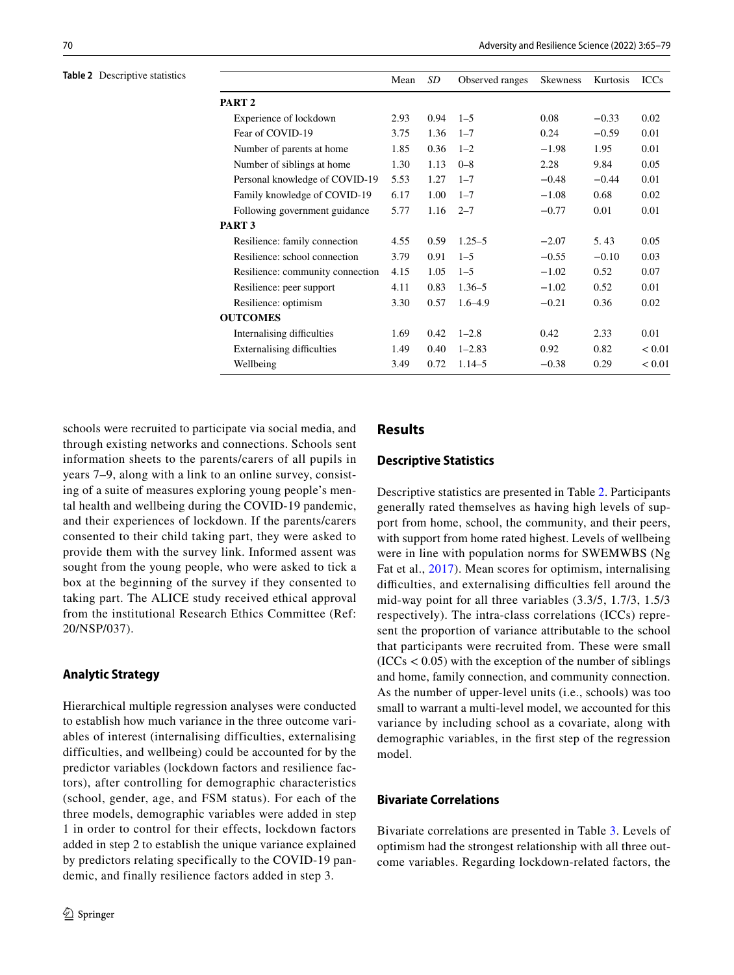#### <span id="page-5-0"></span>**Table 2** Descriptive statistics

|                                   | Mean | SD   | Observed ranges | <b>Skewness</b> | Kurtosis | <b>ICCs</b> |
|-----------------------------------|------|------|-----------------|-----------------|----------|-------------|
| PART <sub>2</sub>                 |      |      |                 |                 |          |             |
| Experience of lockdown            | 2.93 | 0.94 | $1 - 5$         | 0.08            | $-0.33$  | 0.02        |
| Fear of COVID-19                  | 3.75 | 1.36 | $1 - 7$         | 0.24            | $-0.59$  | 0.01        |
| Number of parents at home         | 1.85 | 0.36 | $1 - 2$         | $-1.98$         | 1.95     | 0.01        |
| Number of siblings at home        | 1.30 | 1.13 | $0 - 8$         | 2.28            | 9.84     | 0.05        |
| Personal knowledge of COVID-19    | 5.53 | 1.27 | $1 - 7$         | $-0.48$         | $-0.44$  | 0.01        |
| Family knowledge of COVID-19      | 6.17 | 1.00 | $1 - 7$         | $-1.08$         | 0.68     | 0.02        |
| Following government guidance     | 5.77 | 1.16 | $2 - 7$         | $-0.77$         | 0.01     | 0.01        |
| PART <sub>3</sub>                 |      |      |                 |                 |          |             |
| Resilience: family connection     | 4.55 | 0.59 | $1.25 - 5$      | $-2.07$         | 5.43     | 0.05        |
| Resilience: school connection     | 3.79 | 0.91 | $1 - 5$         | $-0.55$         | $-0.10$  | 0.03        |
| Resilience: community connection  | 4.15 | 1.05 | $1 - 5$         | $-1.02$         | 0.52     | 0.07        |
| Resilience: peer support          | 4.11 | 0.83 | $1.36 - 5$      | $-1.02$         | 0.52     | 0.01        |
| Resilience: optimism              | 3.30 | 0.57 | $1.6 - 4.9$     | $-0.21$         | 0.36     | 0.02        |
| <b>OUTCOMES</b>                   |      |      |                 |                 |          |             |
| Internalising difficulties        | 1.69 | 0.42 | $1 - 2.8$       | 0.42            | 2.33     | 0.01        |
| <b>Externalising difficulties</b> | 1.49 | 0.40 | $1 - 2.83$      | 0.92            | 0.82     | < 0.01      |
| Wellbeing                         | 3.49 | 0.72 | $1.14 - 5$      | $-0.38$         | 0.29     | < 0.01      |

schools were recruited to participate via social media, and through existing networks and connections. Schools sent information sheets to the parents/carers of all pupils in years 7–9, along with a link to an online survey, consisting of a suite of measures exploring young people's mental health and wellbeing during the COVID-19 pandemic, and their experiences of lockdown. If the parents/carers consented to their child taking part, they were asked to provide them with the survey link. Informed assent was sought from the young people, who were asked to tick a box at the beginning of the survey if they consented to taking part. The ALICE study received ethical approval from the institutional Research Ethics Committee (Ref: 20/NSP/037).

#### **Analytic Strategy**

Hierarchical multiple regression analyses were conducted to establish how much variance in the three outcome variables of interest (internalising difficulties, externalising difficulties, and wellbeing) could be accounted for by the predictor variables (lockdown factors and resilience factors), after controlling for demographic characteristics (school, gender, age, and FSM status). For each of the three models, demographic variables were added in step 1 in order to control for their effects, lockdown factors added in step 2 to establish the unique variance explained by predictors relating specifically to the COVID-19 pandemic, and finally resilience factors added in step 3.

# **Results**

### **Descriptive Statistics**

Descriptive statistics are presented in Table [2.](#page-5-0) Participants generally rated themselves as having high levels of support from home, school, the community, and their peers, with support from home rated highest. Levels of wellbeing were in line with population norms for SWEMWBS (Ng Fat et al., [2017\)](#page-13-11). Mean scores for optimism, internalising difficulties, and externalising difficulties fell around the mid-way point for all three variables (3.3/5, 1.7/3, 1.5/3 respectively). The intra-class correlations (ICCs) represent the proportion of variance attributable to the school that participants were recruited from. These were small  $(ICCs < 0.05)$  with the exception of the number of siblings and home, family connection, and community connection. As the number of upper-level units (i.e., schools) was too small to warrant a multi-level model, we accounted for this variance by including school as a covariate, along with demographic variables, in the frst step of the regression model.

# **Bivariate Correlations**

Bivariate correlations are presented in Table [3](#page-6-0). Levels of optimism had the strongest relationship with all three outcome variables. Regarding lockdown-related factors, the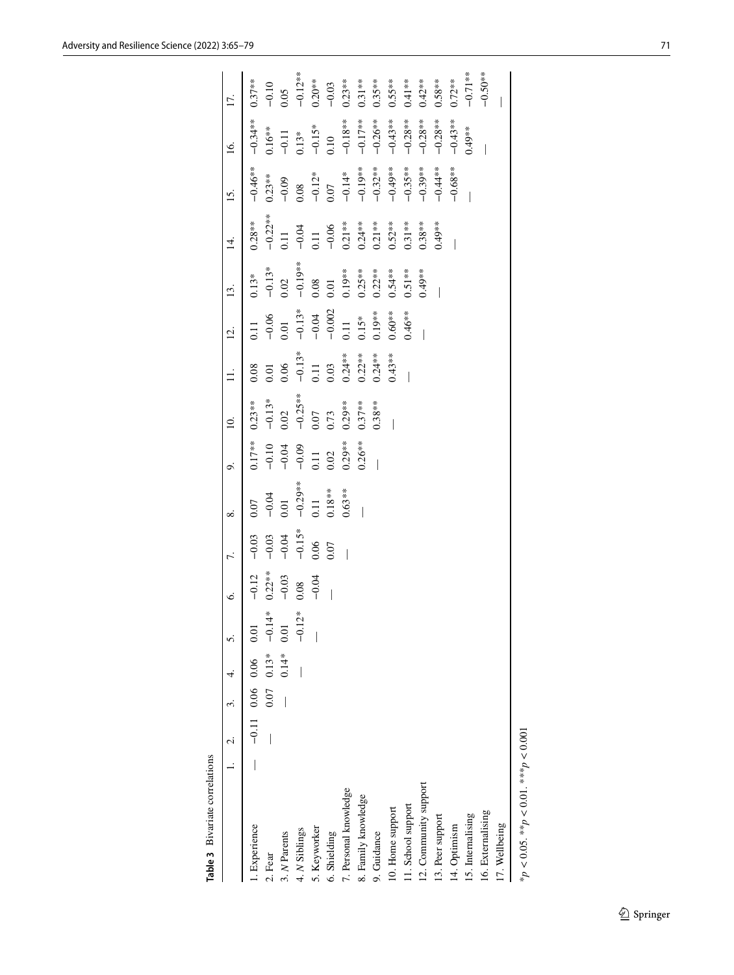|                                                 | 1. 2. 3. 4. |                         |          |           |          |            |           | $\Xi$      |                                     | $\vec{c}$           | 13.                                                         | $\vec{A}$                                                                   | 15.                                                           | $\overline{16}$ .                        |            |
|-------------------------------------------------|-------------|-------------------------|----------|-----------|----------|------------|-----------|------------|-------------------------------------|---------------------|-------------------------------------------------------------|-----------------------------------------------------------------------------|---------------------------------------------------------------|------------------------------------------|------------|
| 1. Experience                                   |             | $-0.11$ 0.06 0.06 0.01  |          | $-0.12$   | $-0.03$  | 0.07       | $0.17***$ | $0.23**$   | 0.08                                | $\Xi$               | $0.13*$                                                     | $0.28**$                                                                    | $-0.46**$                                                     | $-0.34**$                                | $0.37**$   |
| 2. Fear                                         |             | $0.07$ $0.13*$ $-0.14*$ |          | $0.22***$ | $-0.03$  | $-0.04$    | $-0.10$   | $-0.13*$   | 0.01                                | $-0.06$             | $-0.13*$                                                    | $-0.22**$                                                                   |                                                               | $0.16***$                                | $-0.10$    |
| 3. N Parents                                    |             | $0.14* 0.01$            |          | $-0.03$   | $-0.04$  | 0.01       | $-0.04$   | 0.02       | 0.06                                | 0.01                | 0.02                                                        | 11                                                                          |                                                               |                                          | 0.05       |
| 4. N Siblings                                   |             |                         | $-0.12*$ | 0.08      | $-0.15*$ | $-0.29***$ |           | $-0.25***$ | $-0.13*$                            | $-0.13*$            | $-0.19**$                                                   | $-0.04$                                                                     | $\begin{array}{c} 0.23** \ -0.09 \ 0.08 \ -0.12* \end{array}$ | $-0.11$<br>$0.13*$<br>$-0.15*$<br>$0.10$ | $-0.12**$  |
| 5. Keyworker                                    |             |                         |          | $-0.04$   | 0.06     | 0.11       | 0.11      | 0.07       | 0.11                                | $-0.04$<br>$-0.002$ | 0.08                                                        |                                                                             |                                                               |                                          | $0.20**$   |
| 6. Shielding                                    |             |                         |          |           | 0.07     | $0.18**$   | 0.02      | 0.73       | 0.03                                |                     | 0.01                                                        |                                                                             | 10(                                                           |                                          | $-0.03$    |
| 7. Personal knowledge                           |             |                         |          |           |          | $0.63***$  | $0.29***$ | $0.29**$   | $0.24***$<br>$0.22***$<br>$0.24***$ | 0.11                |                                                             |                                                                             | $-0.14*$<br>$-0.19***$<br>$-0.32***$<br>$-0.49***$            |                                          | $0.23***$  |
| 8. Family knowledge                             |             |                         |          |           |          |            | $0.26***$ | $0.37***$  |                                     | $0.15*$             |                                                             |                                                                             |                                                               | $-0.18***$<br>$-0.17***$<br>$-0.26***$   | $0.31***$  |
| 9. Guidance                                     |             |                         |          |           |          |            |           | $0.38**$   |                                     | $0.19**$            |                                                             |                                                                             |                                                               |                                          | $0.35***$  |
| 10. Home support                                |             |                         |          |           |          |            |           |            | $0.43***$                           | $0.60^{**}$         | $0.19***$<br>$0.25***$<br>$0.22***$<br>$0.54**$<br>$0.51**$ | 0.11<br>$-0.06$<br>0.21 ***<br>0.24 ***<br>0.52 ***<br>0.52 ***<br>0.38 *** |                                                               | $-0.43**$                                | $0.55***$  |
| 11. School support                              |             |                         |          |           |          |            |           |            |                                     | $0.46***$           |                                                             |                                                                             | $-0.35***$                                                    | $-0.28**$                                | $0.41***$  |
| 12. Community support                           |             |                         |          |           |          |            |           |            |                                     |                     | $0.49***$                                                   |                                                                             | $-0.39**$                                                     | $-0.28**$                                | $0.42***$  |
| 13. Peer support                                |             |                         |          |           |          |            |           |            |                                     |                     |                                                             | $0.49***$                                                                   | $-0.44**$                                                     | $-0.28**$                                | $0.58**$   |
| 14. Optimism                                    |             |                         |          |           |          |            |           |            |                                     |                     |                                                             |                                                                             | $-0.68***$                                                    | $-0.43**$                                | $0.72***$  |
| 15. Internalising                               |             |                         |          |           |          |            |           |            |                                     |                     |                                                             |                                                                             |                                                               | $0.49***$                                | $-0.71**$  |
| 16. Externalising                               |             |                         |          |           |          |            |           |            |                                     |                     |                                                             |                                                                             |                                                               |                                          | $-0.50***$ |
| 17. Wellbeing                                   |             |                         |          |           |          |            |           |            |                                     |                     |                                                             |                                                                             |                                                               |                                          |            |
| $*_{p}$ < 0.05. $*_{p}$ < 0.01. $*_{*}$ < 0.001 |             |                         |          |           |          |            |           |            |                                     |                     |                                                             |                                                                             |                                                               |                                          |            |

<span id="page-6-0"></span>Table 3 Bivariate correlations **Table 3** Bivariate correlations

\**p* < 0.05. \*\**p* < 0.01. \*\*\**p* < 0.001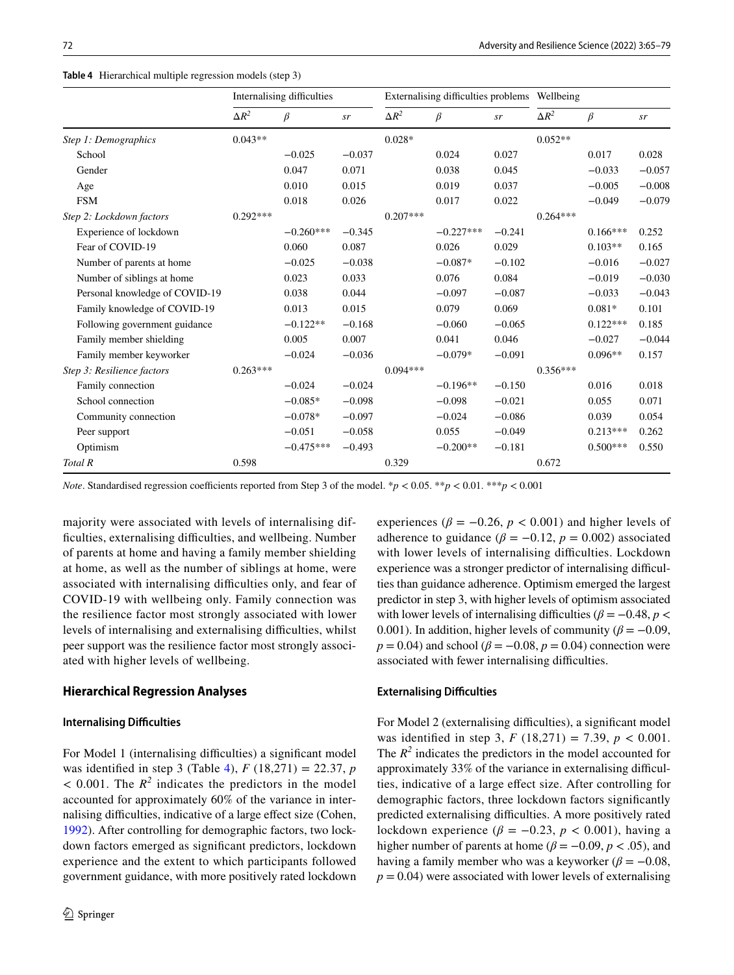<span id="page-7-0"></span>**Table 4** Hierarchical multiple regression models (step 3)

|                                |              | Internalising difficulties |          |              | Externalising difficulties problems Wellbeing |          |              |            |          |
|--------------------------------|--------------|----------------------------|----------|--------------|-----------------------------------------------|----------|--------------|------------|----------|
|                                | $\Delta R^2$ | $\beta$                    | sr       | $\Delta R^2$ | $\beta$                                       | sr       | $\Delta R^2$ | $\beta$    | sr       |
| Step 1: Demographics           | $0.043**$    |                            |          | $0.028*$     |                                               |          | $0.052**$    |            |          |
| School                         |              | $-0.025$                   | $-0.037$ |              | 0.024                                         | 0.027    |              | 0.017      | 0.028    |
| Gender                         |              | 0.047                      | 0.071    |              | 0.038                                         | 0.045    |              | $-0.033$   | $-0.057$ |
| Age                            |              | 0.010                      | 0.015    |              | 0.019                                         | 0.037    |              | $-0.005$   | $-0.008$ |
| <b>FSM</b>                     |              | 0.018                      | 0.026    |              | 0.017                                         | 0.022    |              | $-0.049$   | $-0.079$ |
| Step 2: Lockdown factors       | $0.292***$   |                            |          | $0.207***$   |                                               |          | $0.264***$   |            |          |
| Experience of lockdown         |              | $-0.260***$                | $-0.345$ |              | $-0.227***$                                   | $-0.241$ |              | $0.166***$ | 0.252    |
| Fear of COVID-19               |              | 0.060                      | 0.087    |              | 0.026                                         | 0.029    |              | $0.103**$  | 0.165    |
| Number of parents at home      |              | $-0.025$                   | $-0.038$ |              | $-0.087*$                                     | $-0.102$ |              | $-0.016$   | $-0.027$ |
| Number of siblings at home     |              | 0.023                      | 0.033    |              | 0.076                                         | 0.084    |              | $-0.019$   | $-0.030$ |
| Personal knowledge of COVID-19 |              | 0.038                      | 0.044    |              | $-0.097$                                      | $-0.087$ |              | $-0.033$   | $-0.043$ |
| Family knowledge of COVID-19   |              | 0.013                      | 0.015    |              | 0.079                                         | 0.069    |              | $0.081*$   | 0.101    |
| Following government guidance  |              | $-0.122**$                 | $-0.168$ |              | $-0.060$                                      | $-0.065$ |              | $0.122***$ | 0.185    |
| Family member shielding        |              | 0.005                      | 0.007    |              | 0.041                                         | 0.046    |              | $-0.027$   | $-0.044$ |
| Family member keyworker        |              | $-0.024$                   | $-0.036$ |              | $-0.079*$                                     | $-0.091$ |              | $0.096**$  | 0.157    |
| Step 3: Resilience factors     | $0.263***$   |                            |          | $0.094***$   |                                               |          | $0.356***$   |            |          |
| Family connection              |              | $-0.024$                   | $-0.024$ |              | $-0.196**$                                    | $-0.150$ |              | 0.016      | 0.018    |
| School connection              |              | $-0.085*$                  | $-0.098$ |              | $-0.098$                                      | $-0.021$ |              | 0.055      | 0.071    |
| Community connection           |              | $-0.078*$                  | $-0.097$ |              | $-0.024$                                      | $-0.086$ |              | 0.039      | 0.054    |
| Peer support                   |              | $-0.051$                   | $-0.058$ |              | 0.055                                         | $-0.049$ |              | $0.213***$ | 0.262    |
| Optimism                       |              | $-0.475***$                | $-0.493$ |              | $-0.200**$                                    | $-0.181$ |              | $0.500***$ | 0.550    |
| Total R                        | 0.598        |                            |          | 0.329        |                                               |          | 0.672        |            |          |

*Note*. Standardised regression coefficients reported from Step 3 of the model. \**p* < 0.05. \*\**p* < 0.01. \*\*\**p* < 0.001

majority were associated with levels of internalising difficulties, externalising difficulties, and wellbeing. Number of parents at home and having a family member shielding at home, as well as the number of siblings at home, were associated with internalising difficulties only, and fear of COVID-19 with wellbeing only. Family connection was the resilience factor most strongly associated with lower levels of internalising and externalising difficulties, whilst peer support was the resilience factor most strongly associated with higher levels of wellbeing.

### **Hierarchical Regression Analyses**

#### **Internalising Difficulties**

For Model 1 (internalising difficulties) a significant model was identifed in step 3 (Table [4](#page-7-0)), *F* (18,271) = 22.37, *p*  $<$  0.001. The  $R^2$  indicates the predictors in the model accounted for approximately 60% of the variance in internalising difficulties, indicative of a large effect size (Cohen, [1992](#page-12-27)). After controlling for demographic factors, two lockdown factors emerged as signifcant predictors, lockdown experience and the extent to which participants followed government guidance, with more positively rated lockdown

experiences ( $\beta = -0.26$ ,  $p < 0.001$ ) and higher levels of adherence to guidance ( $\beta = -0.12$ ,  $p = 0.002$ ) associated with lower levels of internalising difficulties. Lockdown experience was a stronger predictor of internalising difficulties than guidance adherence. Optimism emerged the largest predictor in step 3, with higher levels of optimism associated with lower levels of internalising difficulties ( $\beta = -0.48$ ,  $p <$ 0.001). In addition, higher levels of community ( $\beta = -0.09$ , *p* = 0.04) and school ( $\beta$  = −0.08, *p* = 0.04) connection were associated with fewer internalising difficulties.

### **Externalising Difficulties**

For Model 2 (externalising difficulties), a significant model was identifed in step 3, *F* (18,271) = 7.39, *p* < 0.001. The  $R^2$  indicates the predictors in the model accounted for approximately 33% of the variance in externalising difficulties, indicative of a large efect size. After controlling for demographic factors, three lockdown factors signifcantly predicted externalising difficulties. A more positively rated lockdown experience ( $\beta$  = −0.23,  $p$  < 0.001), having a higher number of parents at home ( $\beta$  = −0.09, *p* < .05), and having a family member who was a keyworker ( $\beta = -0.08$ ,  $p = 0.04$ ) were associated with lower levels of externalising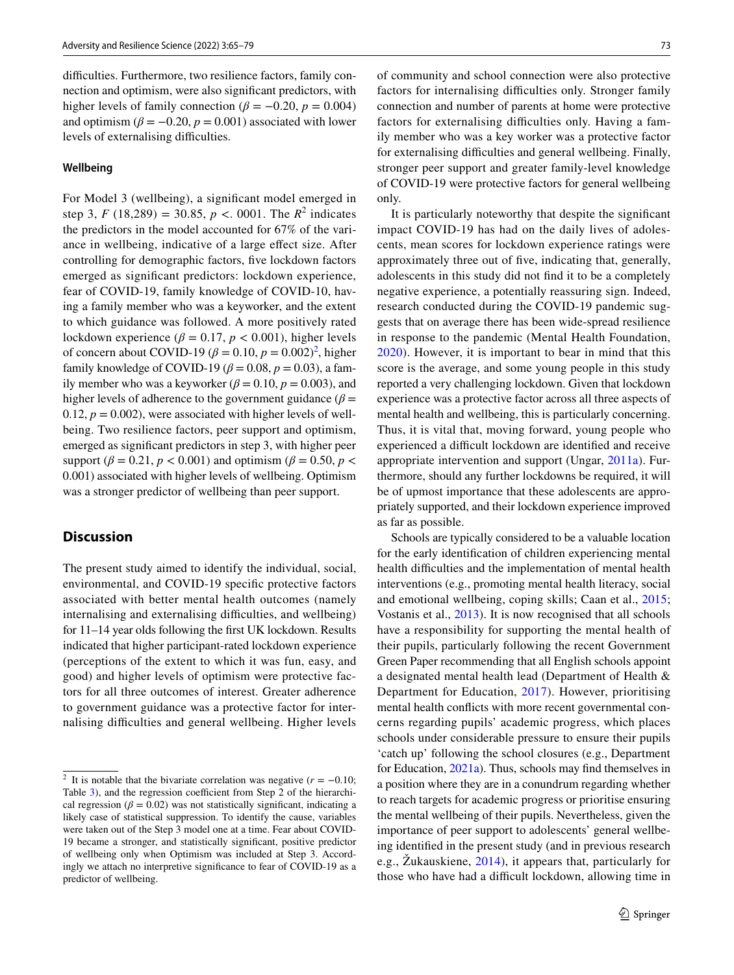difficulties. Furthermore, two resilience factors, family connection and optimism, were also signifcant predictors, with higher levels of family connection ( $\beta = -0.20$ ,  $p = 0.004$ ) and optimism ( $\beta = -0.20$ ,  $p = 0.001$ ) associated with lower levels of externalising difficulties.

# **Wellbeing**

For Model 3 (wellbeing), a signifcant model emerged in step 3,  $F(18,289) = 30.85$ ,  $p < .0001$ . The  $R^2$  indicates the predictors in the model accounted for 67% of the variance in wellbeing, indicative of a large efect size. After controlling for demographic factors, fve lockdown factors emerged as signifcant predictors: lockdown experience, fear of COVID-19, family knowledge of COVID-10, having a family member who was a keyworker, and the extent to which guidance was followed. A more positively rated lockdown experience ( $\beta = 0.17$ ,  $p < 0.001$ ), higher levels of concern about COVID-19 ( $\beta = 0.10$ ,  $p = 0.002$  $p = 0.002$ )<sup>2</sup>, higher family knowledge of COVID-19 ( $\beta$  = 0.08,  $p$  = 0.03), a family member who was a keyworker ( $\beta$  = 0.10,  $p$  = 0.003), and higher levels of adherence to the government guidance ( $\beta$  = 0.12,  $p = 0.002$ ), were associated with higher levels of wellbeing. Two resilience factors, peer support and optimism, emerged as signifcant predictors in step 3, with higher peer support ( $\beta$  = 0.21,  $p$  < 0.001) and optimism ( $\beta$  = 0.50,  $p$  < 0.001) associated with higher levels of wellbeing. Optimism was a stronger predictor of wellbeing than peer support.

# **Discussion**

The present study aimed to identify the individual, social, environmental, and COVID-19 specifc protective factors associated with better mental health outcomes (namely internalising and externalising difficulties, and wellbeing) for 11–14 year olds following the frst UK lockdown. Results indicated that higher participant-rated lockdown experience (perceptions of the extent to which it was fun, easy, and good) and higher levels of optimism were protective factors for all three outcomes of interest. Greater adherence to government guidance was a protective factor for internalising difficulties and general wellbeing. Higher levels of community and school connection were also protective factors for internalising difficulties only. Stronger family connection and number of parents at home were protective factors for externalising difficulties only. Having a family member who was a key worker was a protective factor for externalising difficulties and general wellbeing. Finally, stronger peer support and greater family-level knowledge of COVID-19 were protective factors for general wellbeing only.

It is particularly noteworthy that despite the signifcant impact COVID-19 has had on the daily lives of adolescents, mean scores for lockdown experience ratings were approximately three out of fve, indicating that, generally, adolescents in this study did not fnd it to be a completely negative experience, a potentially reassuring sign. Indeed, research conducted during the COVID-19 pandemic suggests that on average there has been wide-spread resilience in response to the pandemic (Mental Health Foundation, [2020\)](#page-13-21). However, it is important to bear in mind that this score is the average, and some young people in this study reported a very challenging lockdown. Given that lockdown experience was a protective factor across all three aspects of mental health and wellbeing, this is particularly concerning. Thus, it is vital that, moving forward, young people who experienced a difficult lockdown are identified and receive appropriate intervention and support (Ungar, [2011a](#page-13-12)). Furthermore, should any further lockdowns be required, it will be of upmost importance that these adolescents are appropriately supported, and their lockdown experience improved as far as possible.

Schools are typically considered to be a valuable location for the early identifcation of children experiencing mental health difficulties and the implementation of mental health interventions (e.g., promoting mental health literacy, social and emotional wellbeing, coping skills; Caan et al., [2015](#page-11-6); Vostanis et al., [2013](#page-13-22)). It is now recognised that all schools have a responsibility for supporting the mental health of their pupils, particularly following the recent Government Green Paper recommending that all English schools appoint a designated mental health lead (Department of Health & Department for Education, [2017](#page-12-28)). However, prioritising mental health conficts with more recent governmental concerns regarding pupils' academic progress, which places schools under considerable pressure to ensure their pupils 'catch up' following the school closures (e.g., Department for Education, [2021a](#page-12-29)). Thus, schools may fnd themselves in a position where they are in a conundrum regarding whether to reach targets for academic progress or prioritise ensuring the mental wellbeing of their pupils. Nevertheless, given the importance of peer support to adolescents' general wellbeing identifed in the present study (and in previous research e.g., Žukauskiene, [2014\)](#page-14-0), it appears that, particularly for those who have had a difficult lockdown, allowing time in

<span id="page-8-0"></span><sup>&</sup>lt;sup>2</sup> It is notable that the bivariate correlation was negative  $(r = -0.10;$ Table [3](#page-6-0)), and the regression coefficient from Step 2 of the hierarchical regression ( $\beta$  = 0.02) was not statistically significant, indicating a likely case of statistical suppression. To identify the cause, variables were taken out of the Step 3 model one at a time. Fear about COVID-19 became a stronger, and statistically signifcant, positive predictor of wellbeing only when Optimism was included at Step 3. Accordingly we attach no interpretive signifcance to fear of COVID-19 as a predictor of wellbeing.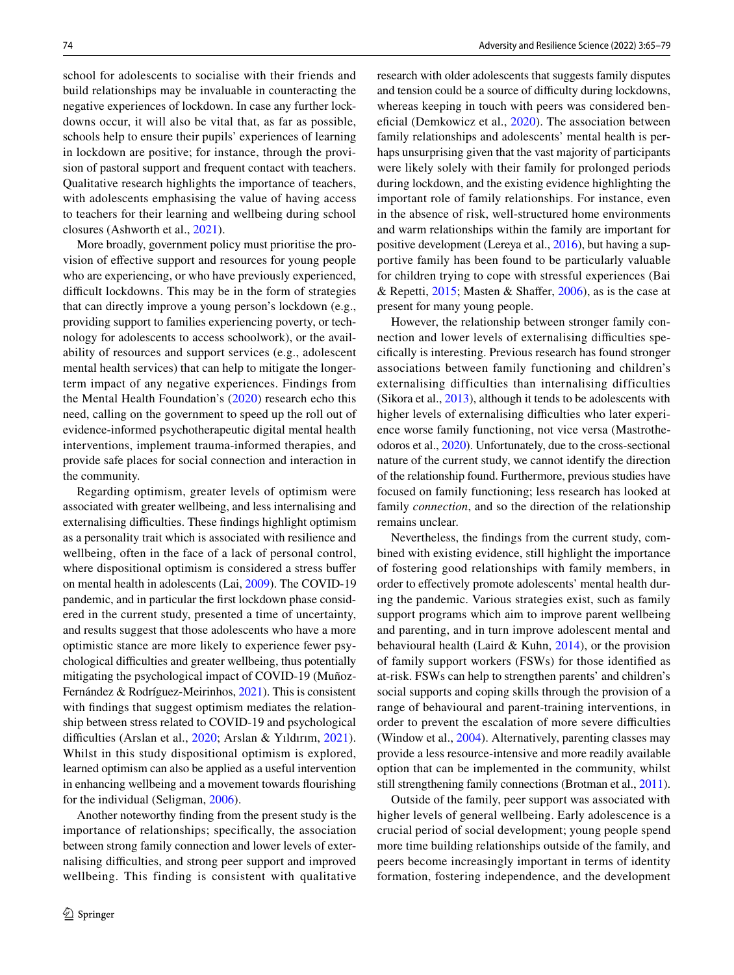school for adolescents to socialise with their friends and build relationships may be invaluable in counteracting the negative experiences of lockdown. In case any further lockdowns occur, it will also be vital that, as far as possible, schools help to ensure their pupils' experiences of learning in lockdown are positive; for instance, through the provision of pastoral support and frequent contact with teachers. Qualitative research highlights the importance of teachers, with adolescents emphasising the value of having access to teachers for their learning and wellbeing during school closures (Ashworth et al., [2021\)](#page-11-7).

More broadly, government policy must prioritise the provision of efective support and resources for young people who are experiencing, or who have previously experienced, difficult lockdowns. This may be in the form of strategies that can directly improve a young person's lockdown (e.g., providing support to families experiencing poverty, or technology for adolescents to access schoolwork), or the availability of resources and support services (e.g., adolescent mental health services) that can help to mitigate the longerterm impact of any negative experiences. Findings from the Mental Health Foundation's [\(2020\)](#page-13-21) research echo this need, calling on the government to speed up the roll out of evidence-informed psychotherapeutic digital mental health interventions, implement trauma-informed therapies, and provide safe places for social connection and interaction in the community.

Regarding optimism, greater levels of optimism were associated with greater wellbeing, and less internalising and externalising difficulties. These findings highlight optimism as a personality trait which is associated with resilience and wellbeing, often in the face of a lack of personal control, where dispositional optimism is considered a stress buffer on mental health in adolescents (Lai, [2009\)](#page-12-30). The COVID-19 pandemic, and in particular the frst lockdown phase considered in the current study, presented a time of uncertainty, and results suggest that those adolescents who have a more optimistic stance are more likely to experience fewer psychological difficulties and greater wellbeing, thus potentially mitigating the psychological impact of COVID-19 (Muñoz-Fernández & Rodríguez-Meirinhos, [2021](#page-13-23)). This is consistent with findings that suggest optimism mediates the relationship between stress related to COVID-19 and psychological difficulties (Arslan et al., [2020](#page-11-8); Arslan & Yıldırım, [2021](#page-11-9)). Whilst in this study dispositional optimism is explored, learned optimism can also be applied as a useful intervention in enhancing wellbeing and a movement towards fourishing for the individual (Seligman, [2006](#page-13-24)).

Another noteworthy fnding from the present study is the importance of relationships; specifcally, the association between strong family connection and lower levels of externalising difficulties, and strong peer support and improved wellbeing. This finding is consistent with qualitative research with older adolescents that suggests family disputes and tension could be a source of difficulty during lockdowns, whereas keeping in touch with peers was considered ben-eficial (Demkowicz et al., [2020\)](#page-12-16). The association between family relationships and adolescents' mental health is perhaps unsurprising given that the vast majority of participants were likely solely with their family for prolonged periods during lockdown, and the existing evidence highlighting the important role of family relationships. For instance, even in the absence of risk, well-structured home environments and warm relationships within the family are important for positive development (Lereya et al., [2016\)](#page-12-24), but having a supportive family has been found to be particularly valuable for children trying to cope with stressful experiences (Bai & Repetti,  $2015$ ; Masten & Shaffer,  $2006$ ), as is the case at present for many young people.

However, the relationship between stronger family connection and lower levels of externalising difficulties specifcally is interesting. Previous research has found stronger associations between family functioning and children's externalising difficulties than internalising difficulties (Sikora et al., [2013\)](#page-13-25), although it tends to be adolescents with higher levels of externalising difficulties who later experience worse family functioning, not vice versa (Mastrotheodoros et al., [2020](#page-12-32)). Unfortunately, due to the cross-sectional nature of the current study, we cannot identify the direction of the relationship found. Furthermore, previous studies have focused on family functioning; less research has looked at family *connection*, and so the direction of the relationship remains unclear.

Nevertheless, the fndings from the current study, combined with existing evidence, still highlight the importance of fostering good relationships with family members, in order to efectively promote adolescents' mental health during the pandemic. Various strategies exist, such as family support programs which aim to improve parent wellbeing and parenting, and in turn improve adolescent mental and behavioural health (Laird & Kuhn,  $2014$ ), or the provision of family support workers (FSWs) for those identifed as at-risk. FSWs can help to strengthen parents' and children's social supports and coping skills through the provision of a range of behavioural and parent-training interventions, in order to prevent the escalation of more severe difficulties (Window et al., [2004\)](#page-13-26). Alternatively, parenting classes may provide a less resource-intensive and more readily available option that can be implemented in the community, whilst still strengthening family connections (Brotman et al., [2011](#page-11-11)).

Outside of the family, peer support was associated with higher levels of general wellbeing. Early adolescence is a crucial period of social development; young people spend more time building relationships outside of the family, and peers become increasingly important in terms of identity formation, fostering independence, and the development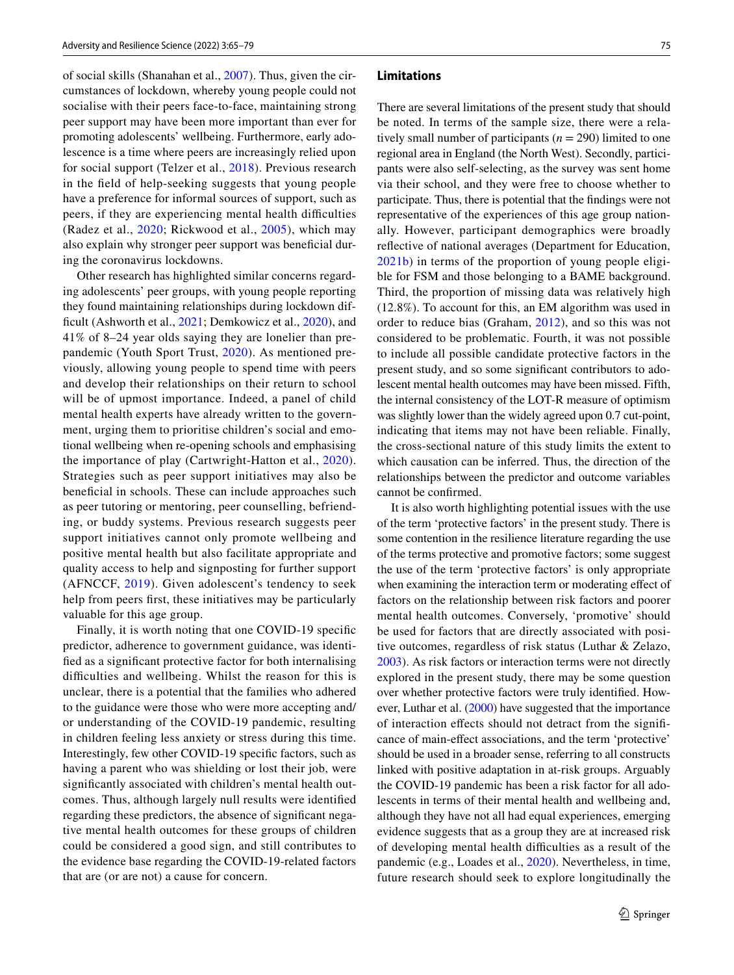of social skills (Shanahan et al., [2007\)](#page-13-27). Thus, given the circumstances of lockdown, whereby young people could not socialise with their peers face-to-face, maintaining strong peer support may have been more important than ever for promoting adolescents' wellbeing. Furthermore, early adolescence is a time where peers are increasingly relied upon for social support (Telzer et al., [2018\)](#page-13-4). Previous research in the feld of help-seeking suggests that young people have a preference for informal sources of support, such as peers, if they are experiencing mental health difficulties (Radez et al., [2020;](#page-13-28) Rickwood et al., [2005](#page-13-29)), which may also explain why stronger peer support was benefcial during the coronavirus lockdowns.

Other research has highlighted similar concerns regarding adolescents' peer groups, with young people reporting they found maintaining relationships during lockdown dif-ficult (Ashworth et al., [2021](#page-11-7); Demkowicz et al., [2020](#page-12-16)), and 41% of 8–24 year olds saying they are lonelier than prepandemic (Youth Sport Trust, [2020](#page-14-4)). As mentioned previously, allowing young people to spend time with peers and develop their relationships on their return to school will be of upmost importance. Indeed, a panel of child mental health experts have already written to the government, urging them to prioritise children's social and emotional wellbeing when re-opening schools and emphasising the importance of play (Cartwright-Hatton et al., [2020](#page-11-12)). Strategies such as peer support initiatives may also be benefcial in schools. These can include approaches such as peer tutoring or mentoring, peer counselling, befriending, or buddy systems. Previous research suggests peer support initiatives cannot only promote wellbeing and positive mental health but also facilitate appropriate and quality access to help and signposting for further support (AFNCCF, [2019](#page-11-13)). Given adolescent's tendency to seek help from peers frst, these initiatives may be particularly valuable for this age group.

Finally, it is worth noting that one COVID-19 specifc predictor, adherence to government guidance, was identifed as a signifcant protective factor for both internalising difficulties and wellbeing. Whilst the reason for this is unclear, there is a potential that the families who adhered to the guidance were those who were more accepting and/ or understanding of the COVID-19 pandemic, resulting in children feeling less anxiety or stress during this time. Interestingly, few other COVID-19 specifc factors, such as having a parent who was shielding or lost their job, were signifcantly associated with children's mental health outcomes. Thus, although largely null results were identifed regarding these predictors, the absence of signifcant negative mental health outcomes for these groups of children could be considered a good sign, and still contributes to the evidence base regarding the COVID-19-related factors that are (or are not) a cause for concern.

#### **Limitations**

There are several limitations of the present study that should be noted. In terms of the sample size, there were a relatively small number of participants (*n* = 290) limited to one regional area in England (the North West). Secondly, participants were also self-selecting, as the survey was sent home via their school, and they were free to choose whether to participate. Thus, there is potential that the fndings were not representative of the experiences of this age group nationally. However, participant demographics were broadly refective of national averages (Department for Education, [2021b\)](#page-12-18) in terms of the proportion of young people eligible for FSM and those belonging to a BAME background. Third, the proportion of missing data was relatively high (12.8%). To account for this, an EM algorithm was used in order to reduce bias (Graham, [2012](#page-12-21)), and so this was not considered to be problematic. Fourth, it was not possible to include all possible candidate protective factors in the present study, and so some signifcant contributors to adolescent mental health outcomes may have been missed. Fifth, the internal consistency of the LOT-R measure of optimism was slightly lower than the widely agreed upon 0.7 cut-point, indicating that items may not have been reliable. Finally, the cross-sectional nature of this study limits the extent to which causation can be inferred. Thus, the direction of the relationships between the predictor and outcome variables cannot be confrmed.

It is also worth highlighting potential issues with the use of the term 'protective factors' in the present study. There is some contention in the resilience literature regarding the use of the terms protective and promotive factors; some suggest the use of the term 'protective factors' is only appropriate when examining the interaction term or moderating effect of factors on the relationship between risk factors and poorer mental health outcomes. Conversely, 'promotive' should be used for factors that are directly associated with positive outcomes, regardless of risk status (Luthar & Zelazo, [2003](#page-12-34)). As risk factors or interaction terms were not directly explored in the present study, there may be some question over whether protective factors were truly identifed. However, Luthar et al. [\(2000](#page-12-35)) have suggested that the importance of interaction efects should not detract from the signifcance of main-efect associations, and the term 'protective' should be used in a broader sense, referring to all constructs linked with positive adaptation in at-risk groups. Arguably the COVID-19 pandemic has been a risk factor for all adolescents in terms of their mental health and wellbeing and, although they have not all had equal experiences, emerging evidence suggests that as a group they are at increased risk of developing mental health difficulties as a result of the pandemic (e.g., Loades et al., [2020\)](#page-12-17). Nevertheless, in time, future research should seek to explore longitudinally the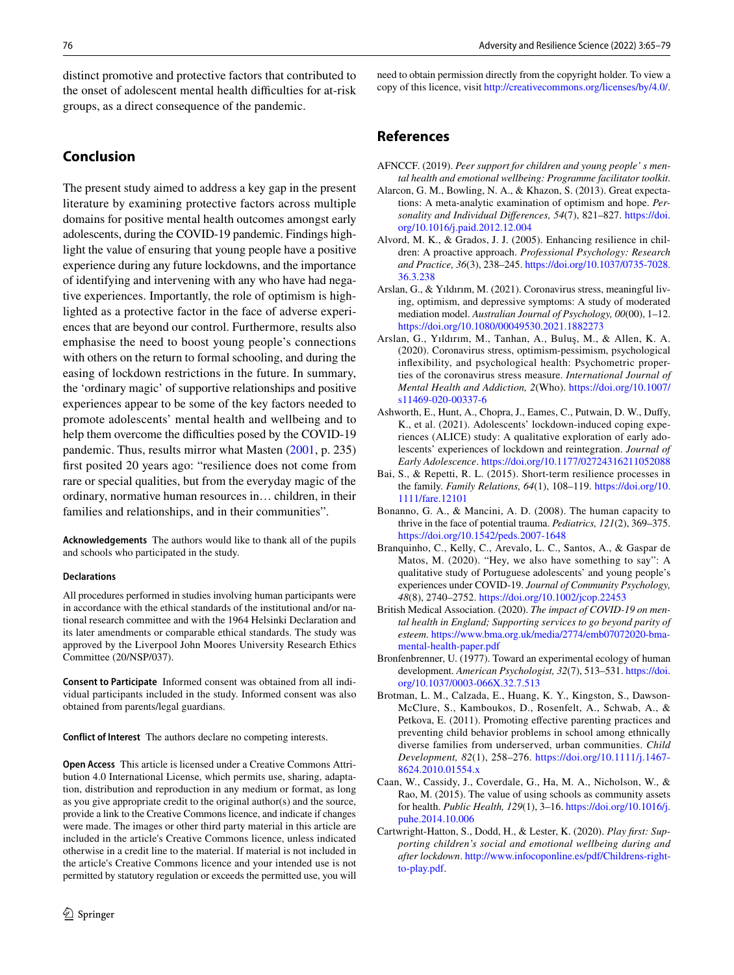distinct promotive and protective factors that contributed to the onset of adolescent mental health difficulties for at-risk groups, as a direct consequence of the pandemic.

# **Conclusion**

The present study aimed to address a key gap in the present literature by examining protective factors across multiple domains for positive mental health outcomes amongst early adolescents, during the COVID-19 pandemic. Findings highlight the value of ensuring that young people have a positive experience during any future lockdowns, and the importance of identifying and intervening with any who have had negative experiences. Importantly, the role of optimism is highlighted as a protective factor in the face of adverse experiences that are beyond our control. Furthermore, results also emphasise the need to boost young people's connections with others on the return to formal schooling, and during the easing of lockdown restrictions in the future. In summary, the 'ordinary magic' of supportive relationships and positive experiences appear to be some of the key factors needed to promote adolescents' mental health and wellbeing and to help them overcome the difficulties posed by the COVID-19 pandemic. Thus, results mirror what Masten [\(2001,](#page-12-8) p. 235) frst posited 20 years ago: "resilience does not come from rare or special qualities, but from the everyday magic of the ordinary, normative human resources in… children, in their families and relationships, and in their communities".

**Acknowledgements** The authors would like to thank all of the pupils and schools who participated in the study.

#### **Declarations**

All procedures performed in studies involving human participants were in accordance with the ethical standards of the institutional and/or national research committee and with the 1964 Helsinki Declaration and its later amendments or comparable ethical standards. The study was approved by the Liverpool John Moores University Research Ethics Committee (20/NSP/037).

**Consent to Participate** Informed consent was obtained from all individual participants included in the study. Informed consent was also obtained from parents/legal guardians.

**Conflict of Interest** The authors declare no competing interests.

**Open Access** This article is licensed under a Creative Commons Attribution 4.0 International License, which permits use, sharing, adaptation, distribution and reproduction in any medium or format, as long as you give appropriate credit to the original author(s) and the source, provide a link to the Creative Commons licence, and indicate if changes were made. The images or other third party material in this article are included in the article's Creative Commons licence, unless indicated otherwise in a credit line to the material. If material is not included in the article's Creative Commons licence and your intended use is not permitted by statutory regulation or exceeds the permitted use, you will need to obtain permission directly from the copyright holder. To view a copy of this licence, visit<http://creativecommons.org/licenses/by/4.0/>.

# **References**

- <span id="page-11-13"></span>AFNCCF. (2019). *Peer support for children and young people' s mental health and emotional wellbeing: Programme facilitator toolkit*.
- <span id="page-11-5"></span>Alarcon, G. M., Bowling, N. A., & Khazon, S. (2013). Great expectations: A meta-analytic examination of optimism and hope. *Personality and Individual Diferences, 54*(7), 821–827. [https://doi.](https://doi.org/10.1016/j.paid.2012.12.004) [org/10.1016/j.paid.2012.12.004](https://doi.org/10.1016/j.paid.2012.12.004)
- <span id="page-11-2"></span>Alvord, M. K., & Grados, J. J. (2005). Enhancing resilience in children: A proactive approach. *Professional Psychology: Research and Practice, 36*(3), 238–245. [https://doi.org/10.1037/0735-7028.](https://doi.org/10.1037/0735-7028.36.3.238) [36.3.238](https://doi.org/10.1037/0735-7028.36.3.238)
- <span id="page-11-9"></span>Arslan, G., & Yıldırım, M. (2021). Coronavirus stress, meaningful living, optimism, and depressive symptoms: A study of moderated mediation model. *Australian Journal of Psychology, 00*(00), 1–12. <https://doi.org/10.1080/00049530.2021.1882273>
- <span id="page-11-8"></span>Arslan, G., Yıldırım, M., Tanhan, A., Buluş, M., & Allen, K. A. (2020). Coronavirus stress, optimism-pessimism, psychological infexibility, and psychological health: Psychometric properties of the coronavirus stress measure. *International Journal of Mental Health and Addiction, 2*(Who). [https://doi.org/10.1007/](https://doi.org/10.1007/s11469-020-00337-6) [s11469-020-00337-6](https://doi.org/10.1007/s11469-020-00337-6)
- <span id="page-11-7"></span>Ashworth, E., Hunt, A., Chopra, J., Eames, C., Putwain, D. W., Dufy, K., et al. (2021). Adolescents' lockdown-induced coping experiences (ALICE) study: A qualitative exploration of early adolescents' experiences of lockdown and reintegration. *Journal of Early Adolescence*. <https://doi.org/10.1177/02724316211052088>
- <span id="page-11-10"></span>Bai, S., & Repetti, R. L. (2015). Short-term resilience processes in the family. *Family Relations, 64*(1), 108–119. [https://doi.org/10.](https://doi.org/10.1111/fare.12101) [1111/fare.12101](https://doi.org/10.1111/fare.12101)
- <span id="page-11-3"></span>Bonanno, G. A., & Mancini, A. D. (2008). The human capacity to thrive in the face of potential trauma. *Pediatrics, 121*(2), 369–375. <https://doi.org/10.1542/peds.2007-1648>
- <span id="page-11-1"></span>Branquinho, C., Kelly, C., Arevalo, L. C., Santos, A., & Gaspar de Matos, M. (2020). "Hey, we also have something to say": A qualitative study of Portuguese adolescents' and young people's experiences under COVID-19. *Journal of Community Psychology, 48*(8), 2740–2752. <https://doi.org/10.1002/jcop.22453>
- <span id="page-11-0"></span>British Medical Association. (2020). *The impact of COVID-19 on mental health in England; Supporting services to go beyond parity of esteem*. [https://www.bma.org.uk/media/2774/emb07072020-bma](https://www.bma.org.uk/media/2774/emb07072020-bma-mental-health-paper.pdf)[mental-health-paper.pdf](https://www.bma.org.uk/media/2774/emb07072020-bma-mental-health-paper.pdf)
- <span id="page-11-4"></span>Bronfenbrenner, U. (1977). Toward an experimental ecology of human development. *American Psychologist, 32*(7), 513–531. [https://doi.](https://doi.org/10.1037/0003-066X.32.7.513) [org/10.1037/0003-066X.32.7.513](https://doi.org/10.1037/0003-066X.32.7.513)
- <span id="page-11-11"></span>Brotman, L. M., Calzada, E., Huang, K. Y., Kingston, S., Dawson-McClure, S., Kamboukos, D., Rosenfelt, A., Schwab, A., & Petkova, E. (2011). Promoting effective parenting practices and preventing child behavior problems in school among ethnically diverse families from underserved, urban communities. *Child Development, 82*(1), 258–276. [https://doi.org/10.1111/j.1467-](https://doi.org/10.1111/j.1467-8624.2010.01554.x) [8624.2010.01554.x](https://doi.org/10.1111/j.1467-8624.2010.01554.x)
- <span id="page-11-6"></span>Caan, W., Cassidy, J., Coverdale, G., Ha, M. A., Nicholson, W., & Rao, M. (2015). The value of using schools as community assets for health. *Public Health, 129*(1), 3–16. [https://doi.org/10.1016/j.](https://doi.org/10.1016/j.puhe.2014.10.006) [puhe.2014.10.006](https://doi.org/10.1016/j.puhe.2014.10.006)
- <span id="page-11-12"></span>Cartwright-Hatton, S., Dodd, H., & Lester, K. (2020). *Play frst: Supporting children's social and emotional wellbeing during and after lockdown*. [http://www.infocoponline.es/pdf/Childrens-right](http://www.infocoponline.es/pdf/Childrens-right-to-play.pdf)[to-play.pdf](http://www.infocoponline.es/pdf/Childrens-right-to-play.pdf).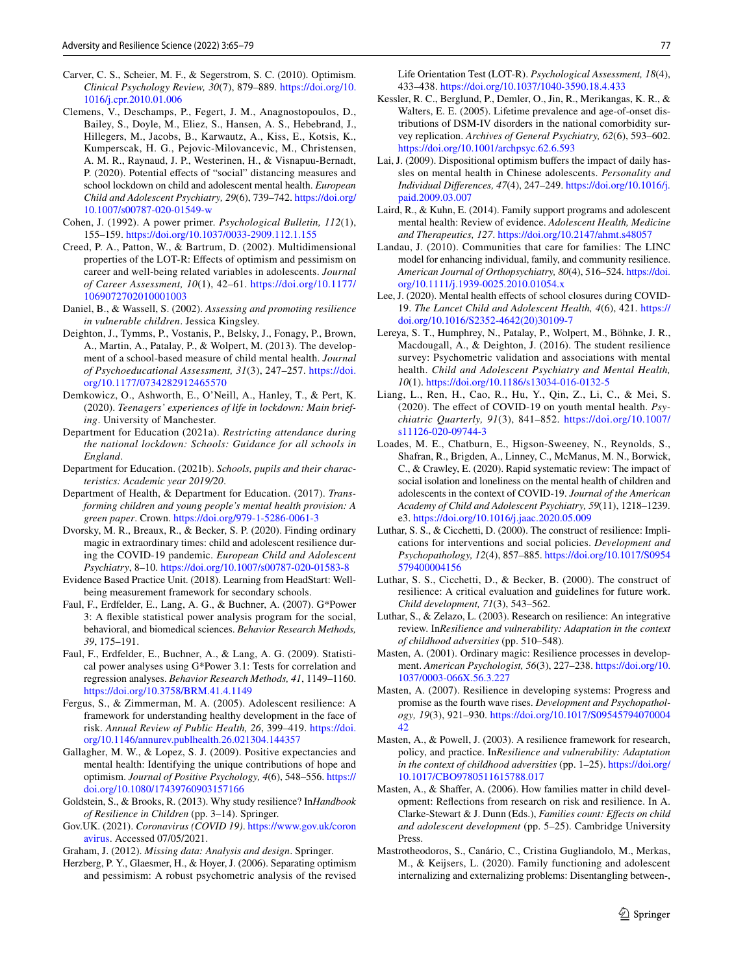- <span id="page-12-14"></span>Carver, C. S., Scheier, M. F., & Segerstrom, S. C. (2010). Optimism. *Clinical Psychology Review, 30*(7), 879–889. [https://doi.org/10.](https://doi.org/10.1016/j.cpr.2010.01.006) [1016/j.cpr.2010.01.006](https://doi.org/10.1016/j.cpr.2010.01.006)
- <span id="page-12-3"></span>Clemens, V., Deschamps, P., Fegert, J. M., Anagnostopoulos, D., Bailey, S., Doyle, M., Eliez, S., Hansen, A. S., Hebebrand, J., Hillegers, M., Jacobs, B., Karwautz, A., Kiss, E., Kotsis, K., Kumperscak, H. G., Pejovic-Milovancevic, M., Christensen, A. M. R., Raynaud, J. P., Westerinen, H., & Visnapuu-Bernadt, P. (2020). Potential effects of "social" distancing measures and school lockdown on child and adolescent mental health. *European Child and Adolescent Psychiatry, 29*(6), 739–742. [https://doi.org/](https://doi.org/10.1007/s00787-020-01549-w) [10.1007/s00787-020-01549-w](https://doi.org/10.1007/s00787-020-01549-w)
- <span id="page-12-27"></span>Cohen, J. (1992). A power primer. *Psychological Bulletin, 112*(1), 155–159.<https://doi.org/10.1037/0033-2909.112.1.155>
- <span id="page-12-26"></span>Creed, P. A., Patton, W., & Bartrum, D. (2002). Multidimensional properties of the LOT-R: Efects of optimism and pessimism on career and well-being related variables in adolescents. *Journal of Career Assessment, 10*(1), 42–61. [https://doi.org/10.1177/](https://doi.org/10.1177/1069072702010001003) [1069072702010001003](https://doi.org/10.1177/1069072702010001003)
- <span id="page-12-9"></span>Daniel, B., & Wassell, S. (2002). *Assessing and promoting resilience in vulnerable children*. Jessica Kingsley.
- <span id="page-12-22"></span>Deighton, J., Tymms, P., Vostanis, P., Belsky, J., Fonagy, P., Brown, A., Martin, A., Patalay, P., & Wolpert, M. (2013). The development of a school-based measure of child mental health. *Journal of Psychoeducational Assessment, 31*(3), 247–257. [https://doi.](https://doi.org/10.1177/0734282912465570) [org/10.1177/0734282912465570](https://doi.org/10.1177/0734282912465570)
- <span id="page-12-16"></span>Demkowicz, O., Ashworth, E., O'Neill, A., Hanley, T., & Pert, K. (2020). *Teenagers' experiences of life in lockdown: Main briefing*. University of Manchester.
- <span id="page-12-29"></span>Department for Education (2021a). *Restricting attendance during the national lockdown: Schools: Guidance for all schools in England*.
- <span id="page-12-18"></span>Department for Education. (2021b). *Schools, pupils and their characteristics: Academic year 2019/20*.
- <span id="page-12-28"></span>Department of Health, & Department for Education. (2017). *Transforming children and young people's mental health provision: A green paper*. Crown. <https://doi.org/979-1-5286-0061-3>
- <span id="page-12-5"></span>Dvorsky, M. R., Breaux, R., & Becker, S. P. (2020). Finding ordinary magic in extraordinary times: child and adolescent resilience during the COVID-19 pandemic. *European Child and Adolescent Psychiatry*, 8–10.<https://doi.org/10.1007/s00787-020-01583-8>
- <span id="page-12-23"></span>Evidence Based Practice Unit. (2018). Learning from HeadStart: Wellbeing measurement framework for secondary schools.
- <span id="page-12-19"></span>Faul, F., Erdfelder, E., Lang, A. G., & Buchner, A. (2007). G\*Power 3: A fexible statistical power analysis program for the social, behavioral, and biomedical sciences. *Behavior Research Methods, 39*, 175–191.
- <span id="page-12-20"></span>Faul, F., Erdfelder, E., Buchner, A., & Lang, A. G. (2009). Statistical power analyses using G\*Power 3.1: Tests for correlation and regression analyses. *Behavior Research Methods, 41*, 1149–1160. <https://doi.org/10.3758/BRM.41.4.1149>
- <span id="page-12-15"></span>Fergus, S., & Zimmerman, M. A. (2005). Adolescent resilience: A framework for understanding healthy development in the face of risk. *Annual Review of Public Health, 26*, 399–419. [https://doi.](https://doi.org/10.1146/annurev.publhealth.26.021304.144357) [org/10.1146/annurev.publhealth.26.021304.144357](https://doi.org/10.1146/annurev.publhealth.26.021304.144357)
- <span id="page-12-13"></span>Gallagher, M. W., & Lopez, S. J. (2009). Positive expectancies and mental health: Identifying the unique contributions of hope and optimism. *Journal of Positive Psychology, 4*(6), 548–556. [https://](https://doi.org/10.1080/17439760903157166) [doi.org/10.1080/17439760903157166](https://doi.org/10.1080/17439760903157166)
- <span id="page-12-12"></span>Goldstein, S., & Brooks, R. (2013). Why study resilience? In*Handbook of Resilience in Children* (pp. 3–14). Springer.
- <span id="page-12-0"></span>Gov.UK. (2021). *Coronavirus (COVID 19)*. [https://www.gov.uk/coron](https://www.gov.uk/coronavirus) [avirus.](https://www.gov.uk/coronavirus) Accessed 07/05/2021.

<span id="page-12-21"></span>Graham, J. (2012). *Missing data: Analysis and design*. Springer.

<span id="page-12-25"></span>Herzberg, P. Y., Glaesmer, H., & Hoyer, J. (2006). Separating optimism and pessimism: A robust psychometric analysis of the revised Life Orientation Test (LOT-R). *Psychological Assessment, 18*(4), 433–438.<https://doi.org/10.1037/1040-3590.18.4.433>

- <span id="page-12-4"></span>Kessler, R. C., Berglund, P., Demler, O., Jin, R., Merikangas, K. R., & Walters, E. E. (2005). Lifetime prevalence and age-of-onset distributions of DSM-IV disorders in the national comorbidity survey replication. *Archives of General Psychiatry, 62*(6), 593–602. <https://doi.org/10.1001/archpsyc.62.6.593>
- <span id="page-12-30"></span>Lai, J. (2009). Dispositional optimism bufers the impact of daily hassles on mental health in Chinese adolescents. *Personality and Individual Diferences, 47*(4), 247–249. [https://doi.org/10.1016/j.](https://doi.org/10.1016/j.paid.2009.03.007) [paid.2009.03.007](https://doi.org/10.1016/j.paid.2009.03.007)
- <span id="page-12-33"></span>Laird, R., & Kuhn, E. (2014). Family support programs and adolescent mental health: Review of evidence. *Adolescent Health, Medicine and Therapeutics, 127*.<https://doi.org/10.2147/ahmt.s48057>
- <span id="page-12-10"></span>Landau, J. (2010). Communities that care for families: The LINC model for enhancing individual, family, and community resilience. *American Journal of Orthopsychiatry, 80*(4), 516–524. [https://doi.](https://doi.org/10.1111/j.1939-0025.2010.01054.x) [org/10.1111/j.1939-0025.2010.01054.x](https://doi.org/10.1111/j.1939-0025.2010.01054.x)
- <span id="page-12-2"></span>Lee, J. (2020). Mental health effects of school closures during COVID-19. *The Lancet Child and Adolescent Health, 4*(6), 421. [https://](https://doi.org/10.1016/S2352-4642(20)30109-7) [doi.org/10.1016/S2352-4642\(20\)30109-7](https://doi.org/10.1016/S2352-4642(20)30109-7)
- <span id="page-12-24"></span>Lereya, S. T., Humphrey, N., Patalay, P., Wolpert, M., Böhnke, J. R., Macdougall, A., & Deighton, J. (2016). The student resilience survey: Psychometric validation and associations with mental health. *Child and Adolescent Psychiatry and Mental Health, 10*(1).<https://doi.org/10.1186/s13034-016-0132-5>
- <span id="page-12-1"></span>Liang, L., Ren, H., Cao, R., Hu, Y., Qin, Z., Li, C., & Mei, S. (2020). The efect of COVID-19 on youth mental health. *Psychiatric Quarterly, 91*(3), 841–852. [https://doi.org/10.1007/](https://doi.org/10.1007/s11126-020-09744-3) [s11126-020-09744-3](https://doi.org/10.1007/s11126-020-09744-3)
- <span id="page-12-17"></span>Loades, M. E., Chatburn, E., Higson-Sweeney, N., Reynolds, S., Shafran, R., Brigden, A., Linney, C., McManus, M. N., Borwick, C., & Crawley, E. (2020). Rapid systematic review: The impact of social isolation and loneliness on the mental health of children and adolescents in the context of COVID-19. *Journal of the American Academy of Child and Adolescent Psychiatry, 59*(11), 1218–1239. e3.<https://doi.org/10.1016/j.jaac.2020.05.009>
- <span id="page-12-6"></span>Luthar, S. S., & Cicchetti, D. (2000). The construct of resilience: Implications for interventions and social policies. *Development and Psychopathology, 12*(4), 857–885. [https://doi.org/10.1017/S0954](https://doi.org/10.1017/S0954579400004156) [579400004156](https://doi.org/10.1017/S0954579400004156)
- <span id="page-12-35"></span>Luthar, S. S., Cicchetti, D., & Becker, B. (2000). The construct of resilience: A critical evaluation and guidelines for future work. *Child development, 71*(3), 543–562.
- <span id="page-12-34"></span>Luthar, S., & Zelazo, L. (2003). Research on resilience: An integrative review. In*Resilience and vulnerability: Adaptation in the context of childhood adversities* (pp. 510–548).
- <span id="page-12-8"></span>Masten, A. (2001). Ordinary magic: Resilience processes in development. *American Psychologist, 56*(3), 227–238. [https://doi.org/10.](https://doi.org/10.1037/0003-066X.56.3.227) [1037/0003-066X.56.3.227](https://doi.org/10.1037/0003-066X.56.3.227)
- <span id="page-12-11"></span>Masten, A. (2007). Resilience in developing systems: Progress and promise as the fourth wave rises. *Development and Psychopathology, 19*(3), 921–930. [https://doi.org/10.1017/S09545794070004](https://doi.org/10.1017/S0954579407000442) [42](https://doi.org/10.1017/S0954579407000442)
- <span id="page-12-7"></span>Masten, A., & Powell, J. (2003). A resilience framework for research, policy, and practice. In*Resilience and vulnerability: Adaptation in the context of childhood adversities* (pp. 1–25). [https://doi.org/](https://doi.org/10.1017/CBO9780511615788.017) [10.1017/CBO9780511615788.017](https://doi.org/10.1017/CBO9780511615788.017)
- <span id="page-12-31"></span>Masten, A., & Shaffer, A. (2006). How families matter in child development: Refections from research on risk and resilience. In A. Clarke-Stewart & J. Dunn (Eds.), *Families count: Efects on child and adolescent development* (pp. 5–25). Cambridge University Press.
- <span id="page-12-32"></span>Mastrotheodoros, S., Canário, C., Cristina Gugliandolo, M., Merkas, M., & Keijsers, L. (2020). Family functioning and adolescent internalizing and externalizing problems: Disentangling between-,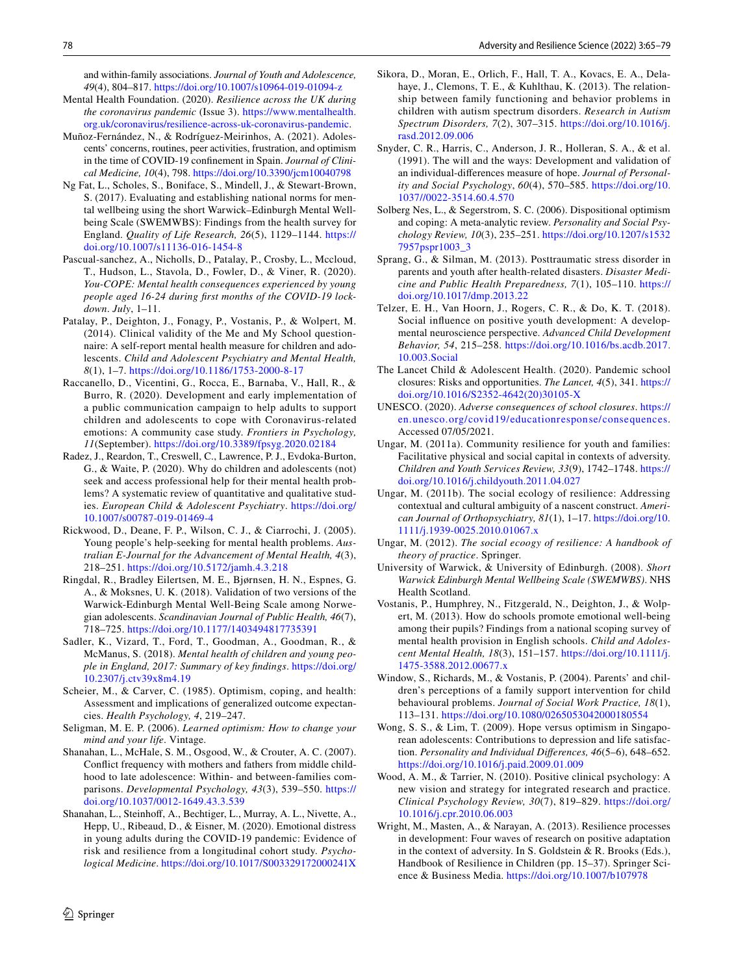and within-family associations. *Journal of Youth and Adolescence, 49*(4), 804–817.<https://doi.org/10.1007/s10964-019-01094-z>

- <span id="page-13-21"></span>Mental Health Foundation. (2020). *Resilience across the UK during the coronavirus pandemic* (Issue 3). [https://www.mentalhealth.](https://www.mentalhealth.org.uk/coronavirus/resilience-across-uk-coronavirus-pandemic) [org.uk/coronavirus/resilience-across-uk-coronavirus-pandemic](https://www.mentalhealth.org.uk/coronavirus/resilience-across-uk-coronavirus-pandemic).
- <span id="page-13-23"></span>Muñoz-Fernández, N., & Rodríguez-Meirinhos, A. (2021). Adolescents' concerns, routines, peer activities, frustration, and optimism in the time of COVID-19 confnement in Spain. *Journal of Clinical Medicine, 10*(4), 798. <https://doi.org/10.3390/jcm10040798>
- <span id="page-13-11"></span>Ng Fat, L., Scholes, S., Boniface, S., Mindell, J., & Stewart-Brown, S. (2017). Evaluating and establishing national norms for mental wellbeing using the short Warwick–Edinburgh Mental Wellbeing Scale (SWEMWBS): Findings from the health survey for England. *Quality of Life Research, 26*(5), 1129–1144. [https://](https://doi.org/10.1007/s11136-016-1454-8) [doi.org/10.1007/s11136-016-1454-8](https://doi.org/10.1007/s11136-016-1454-8)
- <span id="page-13-1"></span>Pascual-sanchez, A., Nicholls, D., Patalay, P., Crosby, L., Mccloud, T., Hudson, L., Stavola, D., Fowler, D., & Viner, R. (2020). *You-COPE: Mental health consequences experienced by young people aged 16-24 during frst months of the COVID-19 lockdown*. *July*, 1–11.
- <span id="page-13-17"></span>Patalay, P., Deighton, J., Fonagy, P., Vostanis, P., & Wolpert, M. (2014). Clinical validity of the Me and My School questionnaire: A self-report mental health measure for children and adolescents. *Child and Adolescent Psychiatry and Mental Health, 8*(1), 1–7. <https://doi.org/10.1186/1753-2000-8-17>
- <span id="page-13-2"></span>Raccanello, D., Vicentini, G., Rocca, E., Barnaba, V., Hall, R., & Burro, R. (2020). Development and early implementation of a public communication campaign to help adults to support children and adolescents to cope with Coronavirus-related emotions: A community case study. *Frontiers in Psychology, 11*(September).<https://doi.org/10.3389/fpsyg.2020.02184>
- <span id="page-13-28"></span>Radez, J., Reardon, T., Creswell, C., Lawrence, P. J., Evdoka-Burton, G., & Waite, P. (2020). Why do children and adolescents (not) seek and access professional help for their mental health problems? A systematic review of quantitative and qualitative studies. *European Child & Adolescent Psychiatry*. [https://doi.org/](https://doi.org/10.1007/s00787-019-01469-4) [10.1007/s00787-019-01469-4](https://doi.org/10.1007/s00787-019-01469-4)
- <span id="page-13-29"></span>Rickwood, D., Deane, F. P., Wilson, C. J., & Ciarrochi, J. (2005). Young people's help-seeking for mental health problems. *Australian E-Journal for the Advancement of Mental Health, 4*(3), 218–251.<https://doi.org/10.5172/jamh.4.3.218>
- <span id="page-13-19"></span>Ringdal, R., Bradley Eilertsen, M. E., Bjørnsen, H. N., Espnes, G. A., & Moksnes, U. K. (2018). Validation of two versions of the Warwick-Edinburgh Mental Well-Being Scale among Norwegian adolescents. *Scandinavian Journal of Public Health, 46*(7), 718–725.<https://doi.org/10.1177/1403494817735391>
- <span id="page-13-7"></span>Sadler, K., Vizard, T., Ford, T., Goodman, A., Goodman, R., & McManus, S. (2018). *Mental health of children and young people in England, 2017: Summary of key fndings*. [https://doi.org/](https://doi.org/10.2307/j.ctv39x8m4.19) [10.2307/j.ctv39x8m4.19](https://doi.org/10.2307/j.ctv39x8m4.19)
- <span id="page-13-13"></span>Scheier, M., & Carver, C. (1985). Optimism, coping, and health: Assessment and implications of generalized outcome expectancies. *Health Psychology, 4*, 219–247.
- <span id="page-13-24"></span>Seligman, M. E. P. (2006). *Learned optimism: How to change your mind and your life*. Vintage.
- <span id="page-13-27"></span>Shanahan, L., McHale, S. M., Osgood, W., & Crouter, A. C. (2007). Confict frequency with mothers and fathers from middle childhood to late adolescence: Within- and between-families comparisons. *Developmental Psychology, 43*(3), 539–550. [https://](https://doi.org/10.1037/0012-1649.43.3.539) [doi.org/10.1037/0012-1649.43.3.539](https://doi.org/10.1037/0012-1649.43.3.539)
- <span id="page-13-0"></span>Shanahan, L., Steinhof, A., Bechtiger, L., Murray, A. L., Nivette, A., Hepp, U., Ribeaud, D., & Eisner, M. (2020). Emotional distress in young adults during the COVID-19 pandemic: Evidence of risk and resilience from a longitudinal cohort study. *Psychological Medicine*.<https://doi.org/10.1017/S003329172000241X>
- <span id="page-13-25"></span>Sikora, D., Moran, E., Orlich, F., Hall, T. A., Kovacs, E. A., Delahaye, J., Clemons, T. E., & Kuhlthau, K. (2013). The relationship between family functioning and behavior problems in children with autism spectrum disorders. *Research in Autism Spectrum Disorders, 7*(2), 307–315. [https://doi.org/10.1016/j.](https://doi.org/10.1016/j.rasd.2012.09.006) [rasd.2012.09.006](https://doi.org/10.1016/j.rasd.2012.09.006)
- <span id="page-13-14"></span>Snyder, C. R., Harris, C., Anderson, J. R., Holleran, S. A., & et al. (1991). The will and the ways: Development and validation of an individual-diferences measure of hope. *Journal of Personality and Social Psychology*, *60*(4), 570–585. [https://doi.org/10.](https://doi.org/10.1037//0022-3514.60.4.570) [1037//0022-3514.60.4.570](https://doi.org/10.1037//0022-3514.60.4.570)
- <span id="page-13-15"></span>Solberg Nes, L., & Segerstrom, S. C. (2006). Dispositional optimism and coping: A meta-analytic review. *Personality and Social Psychology Review, 10*(3), 235–251. [https://doi.org/10.1207/s1532](https://doi.org/10.1207/s15327957pspr1003_3) [7957pspr1003\\_3](https://doi.org/10.1207/s15327957pspr1003_3)
- <span id="page-13-5"></span>Sprang, G., & Silman, M. (2013). Posttraumatic stress disorder in parents and youth after health-related disasters. *Disaster Medicine and Public Health Preparedness, 7*(1), 105–110. [https://](https://doi.org/10.1017/dmp.2013.22) [doi.org/10.1017/dmp.2013.22](https://doi.org/10.1017/dmp.2013.22)
- <span id="page-13-4"></span>Telzer, E. H., Van Hoorn, J., Rogers, C. R., & Do, K. T. (2018). Social infuence on positive youth development: A developmental neuroscience perspective. *Advanced Child Development Behavior, 54*, 215–258. [https://doi.org/10.1016/bs.acdb.2017.](https://doi.org/10.1016/bs.acdb.2017.10.003.Social) [10.003.Social](https://doi.org/10.1016/bs.acdb.2017.10.003.Social)
- <span id="page-13-3"></span>The Lancet Child & Adolescent Health. (2020). Pandemic school closures: Risks and opportunities. *The Lancet, 4*(5), 341. [https://](https://doi.org/10.1016/S2352-4642(20)30105-X) [doi.org/10.1016/S2352-4642\(20\)30105-X](https://doi.org/10.1016/S2352-4642(20)30105-X)
- <span id="page-13-6"></span>UNESCO. (2020). *Adverse consequences of school closures*. [https://](https://en.unesco.org/covid19/educationresponse/consequences) [en.unesco.org/covid19/educationresponse/consequences](https://en.unesco.org/covid19/educationresponse/consequences). Accessed 07/05/2021.
- <span id="page-13-12"></span>Ungar, M. (2011a). Community resilience for youth and families: Facilitative physical and social capital in contexts of adversity. *Children and Youth Services Review, 33*(9), 1742–1748. [https://](https://doi.org/10.1016/j.childyouth.2011.04.027) [doi.org/10.1016/j.childyouth.2011.04.027](https://doi.org/10.1016/j.childyouth.2011.04.027)
- <span id="page-13-9"></span>Ungar, M. (2011b). The social ecology of resilience: Addressing contextual and cultural ambiguity of a nascent construct. *American Journal of Orthopsychiatry, 81*(1), 1–17. [https://doi.org/10.](https://doi.org/10.1111/j.1939-0025.2010.01067.x) [1111/j.1939-0025.2010.01067.x](https://doi.org/10.1111/j.1939-0025.2010.01067.x)
- <span id="page-13-10"></span>Ungar, M. (2012). *The social ecoogy of resilience: A handbook of theory of practice*. Springer.
- <span id="page-13-18"></span>University of Warwick, & University of Edinburgh. (2008). *Short Warwick Edinburgh Mental Wellbeing Scale (SWEMWBS)*. NHS Health Scotland.
- <span id="page-13-22"></span>Vostanis, P., Humphrey, N., Fitzgerald, N., Deighton, J., & Wolpert, M. (2013). How do schools promote emotional well-being among their pupils? Findings from a national scoping survey of mental health provision in English schools. *Child and Adolescent Mental Health, 18*(3), 151–157. [https://doi.org/10.1111/j.](https://doi.org/10.1111/j.1475-3588.2012.00677.x) [1475-3588.2012.00677.x](https://doi.org/10.1111/j.1475-3588.2012.00677.x)
- <span id="page-13-26"></span>Window, S., Richards, M., & Vostanis, P. (2004). Parents' and children's perceptions of a family support intervention for child behavioural problems. *Journal of Social Work Practice, 18*(1), 113–131.<https://doi.org/10.1080/0265053042000180554>
- <span id="page-13-20"></span>Wong, S. S., & Lim, T. (2009). Hope versus optimism in Singaporean adolescents: Contributions to depression and life satisfaction. *Personality and Individual Diferences, 46*(5–6), 648–652. <https://doi.org/10.1016/j.paid.2009.01.009>
- <span id="page-13-16"></span>Wood, A. M., & Tarrier, N. (2010). Positive clinical psychology: A new vision and strategy for integrated research and practice. *Clinical Psychology Review, 30*(7), 819–829. [https://doi.org/](https://doi.org/10.1016/j.cpr.2010.06.003) [10.1016/j.cpr.2010.06.003](https://doi.org/10.1016/j.cpr.2010.06.003)
- <span id="page-13-8"></span>Wright, M., Masten, A., & Narayan, A. (2013). Resilience processes in development: Four waves of research on positive adaptation in the context of adversity. In S. Goldstein & R. Brooks (Eds.), Handbook of Resilience in Children (pp. 15–37). Springer Science & Business Media.<https://doi.org/10.1007/b107978>